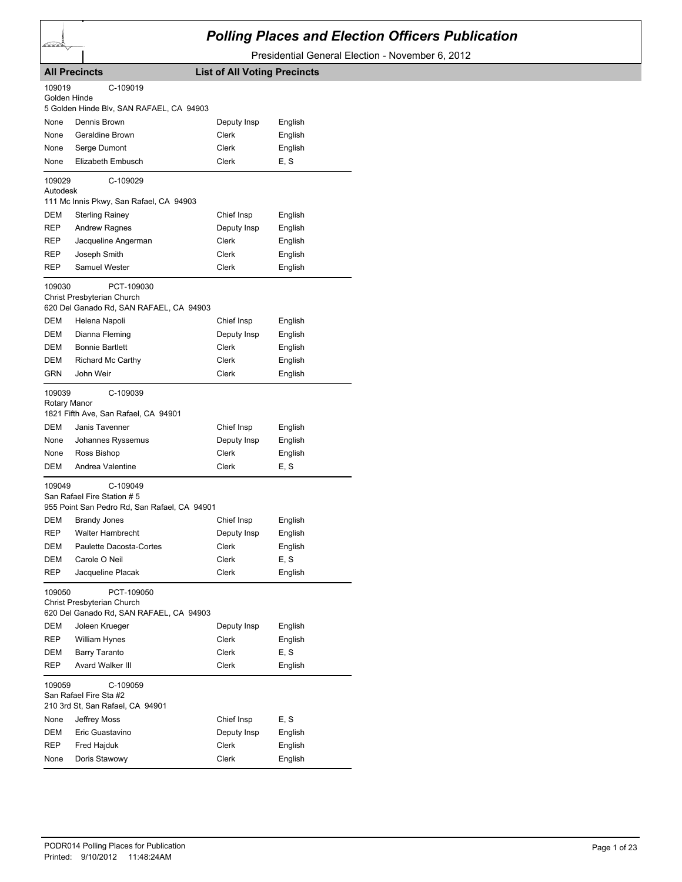

## *Polling Places and Election Officers Publication*

Presidential General Election - November 6, 2012

|                                                                                               | <b>All Precincts</b>                                                                   | <b>List of All Voting Precincts</b> |         |  |
|-----------------------------------------------------------------------------------------------|----------------------------------------------------------------------------------------|-------------------------------------|---------|--|
| 109019<br>Golden Hinde                                                                        | C-109019<br>5 Golden Hinde Blv, SAN RAFAEL, CA 94903                                   |                                     |         |  |
| None                                                                                          | Dennis Brown                                                                           | Deputy Insp                         | English |  |
| None                                                                                          | <b>Geraldine Brown</b>                                                                 | Clerk                               | English |  |
| None                                                                                          | Serge Dumont                                                                           | Clerk                               | English |  |
| None                                                                                          | Elizabeth Embusch                                                                      | Clerk                               | E, S    |  |
| 109029                                                                                        | C-109029                                                                               |                                     |         |  |
| Autodesk                                                                                      |                                                                                        |                                     |         |  |
|                                                                                               | 111 Mc Innis Pkwy, San Rafael, CA 94903                                                |                                     |         |  |
| DEM                                                                                           | <b>Sterling Rainey</b>                                                                 | Chief Insp                          | English |  |
| REP                                                                                           | <b>Andrew Ragnes</b>                                                                   | Deputy Insp                         | English |  |
| REP                                                                                           | Jacqueline Angerman                                                                    | Clerk                               | English |  |
| REP                                                                                           | Joseph Smith                                                                           | Clerk                               | English |  |
| REP                                                                                           | Samuel Wester                                                                          | Clerk                               | English |  |
| 109030                                                                                        | PCT-109030                                                                             |                                     |         |  |
|                                                                                               | Christ Presbyterian Church                                                             |                                     |         |  |
|                                                                                               | 620 Del Ganado Rd, SAN RAFAEL, CA 94903                                                |                                     |         |  |
| DEM                                                                                           | Helena Napoli                                                                          | Chief Insp                          | English |  |
| DEM                                                                                           | Dianna Fleming                                                                         | Deputy Insp                         | English |  |
| DEM                                                                                           | <b>Bonnie Bartlett</b>                                                                 | <b>Clerk</b>                        | English |  |
| DEM                                                                                           | Richard Mc Carthy                                                                      | Clerk                               | English |  |
| GRN                                                                                           | John Weir                                                                              | Clerk                               | English |  |
| 109039<br>Rotary Manor                                                                        | C-109039<br>1821 Fifth Ave, San Rafael, CA 94901                                       |                                     |         |  |
| DEM                                                                                           | Janis Tavenner                                                                         | Chief Insp                          | English |  |
| None                                                                                          | Johannes Ryssemus                                                                      | Deputy Insp                         | English |  |
| None                                                                                          | Ross Bishop                                                                            | Clerk                               | English |  |
| DEM                                                                                           | Andrea Valentine                                                                       | Clerk                               | E. S    |  |
| 109049                                                                                        | C-109049<br>San Rafael Fire Station #5<br>955 Point San Pedro Rd, San Rafael, CA 94901 |                                     |         |  |
| DEM                                                                                           | <b>Brandy Jones</b>                                                                    | Chief Insp                          | English |  |
| REP                                                                                           | <b>Walter Hambrecht</b>                                                                | Deputy Insp                         | English |  |
| DEM                                                                                           | Paulette Dacosta-Cortes                                                                | Clerk                               | English |  |
| DEM                                                                                           | Carole O Neil                                                                          | Clerk                               | E, S    |  |
| REP                                                                                           | Jacqueline Placak                                                                      | Clerk                               | English |  |
| 109050<br>PCT-109050<br>Christ Presbyterian Church<br>620 Del Ganado Rd, SAN RAFAEL, CA 94903 |                                                                                        |                                     |         |  |
| DEM                                                                                           | Joleen Krueger                                                                         | Deputy Insp                         | English |  |
| REP                                                                                           | William Hynes                                                                          | <b>Clerk</b>                        | English |  |
| DEM                                                                                           | <b>Barry Taranto</b>                                                                   | Clerk                               | E, S    |  |
| REP                                                                                           | Avard Walker III                                                                       | Clerk                               | English |  |
| 109059                                                                                        | C-109059<br>San Rafael Fire Sta #2<br>210 3rd St, San Rafael, CA 94901                 |                                     |         |  |
| None                                                                                          | Jeffrey Moss                                                                           | Chief Insp                          | E, S    |  |
| DEM                                                                                           | Eric Guastavino                                                                        | Deputy Insp                         | English |  |
| REP                                                                                           | Fred Hajduk                                                                            | Clerk                               | English |  |
| None                                                                                          | Doris Stawowy                                                                          | Clerk                               | English |  |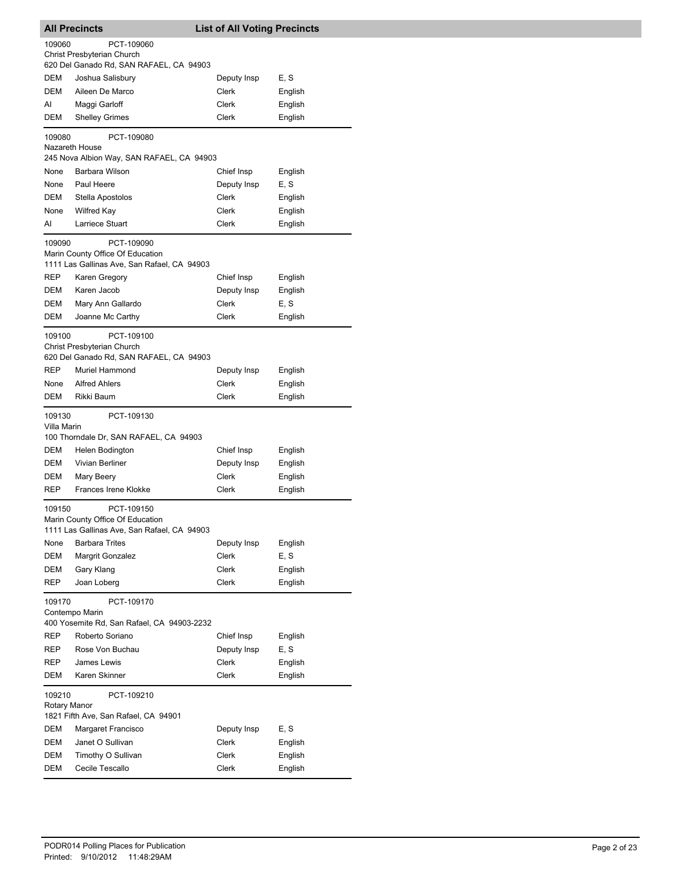|                          | <b>All Precincts</b>                                                                | <b>List of All Voting Precincts</b> |         |
|--------------------------|-------------------------------------------------------------------------------------|-------------------------------------|---------|
| 109060                   | PCT-109060                                                                          |                                     |         |
|                          | Christ Presbyterian Church                                                          |                                     |         |
|                          | 620 Del Ganado Rd, SAN RAFAEL, CA 94903                                             |                                     |         |
| DEM                      | Joshua Salisbury                                                                    | Deputy Insp                         | E, S    |
| <b>DEM</b>               | Aileen De Marco                                                                     | Clerk                               | English |
| AI                       | Maggi Garloff                                                                       | Clerk                               | English |
| DEM                      | <b>Shelley Grimes</b>                                                               | Clerk                               | English |
| 109080<br>Nazareth House | PCT-109080                                                                          |                                     |         |
|                          | 245 Nova Albion Way, SAN RAFAEL, CA 94903                                           |                                     |         |
| None                     | Barbara Wilson                                                                      | Chief Insp                          | English |
| None                     | Paul Heere                                                                          | Deputy Insp                         | E, S    |
| <b>DEM</b>               | Stella Apostolos                                                                    | Clerk                               | English |
| None                     | <b>Wilfred Kay</b>                                                                  | Clerk                               | English |
| AI                       | Larriece Stuart                                                                     | Clerk                               | English |
| 109090                   | PCT-109090                                                                          |                                     |         |
|                          | Marin County Office Of Education<br>1111 Las Gallinas Ave, San Rafael, CA 94903     |                                     |         |
| REP                      | Karen Gregory                                                                       | Chief Insp                          | English |
| DEM                      | Karen Jacob                                                                         | Deputy Insp                         | English |
| DEM                      | Mary Ann Gallardo                                                                   | Clerk                               | E, S    |
| <b>DEM</b>               | Joanne Mc Carthy                                                                    | Clerk                               | English |
|                          |                                                                                     |                                     |         |
| 109100                   | PCT-109100<br>Christ Presbyterian Church<br>620 Del Ganado Rd, SAN RAFAEL, CA 94903 |                                     |         |
| <b>REP</b>               | <b>Muriel Hammond</b>                                                               | Deputy Insp                         | English |
| None                     | <b>Alfred Ahlers</b>                                                                | Clerk                               | English |
| DEM                      | Rikki Baum                                                                          | Clerk                               | English |
| 109130<br>Villa Marin    | PCT-109130                                                                          |                                     |         |
|                          | 100 Thorndale Dr, SAN RAFAEL, CA 94903                                              |                                     |         |
| DEM                      | Helen Bodington                                                                     | Chief Insp                          | English |
| DEM                      | <b>Vivian Berliner</b>                                                              | Deputy Insp                         | English |
| DEM                      | Mary Beery                                                                          | Clerk                               | English |
| REP                      | Frances Irene Klokke                                                                | Clerk                               | English |
| 109150                   | PCT-109150                                                                          |                                     |         |
|                          | Marin County Office Of Education                                                    |                                     |         |
|                          | 1111 Las Gallinas Ave, San Rafael, CA 94903                                         |                                     |         |
| None                     | <b>Barbara Trites</b>                                                               | Deputy Insp                         | English |
| DEM                      | Margrit Gonzalez                                                                    | Clerk                               | E, S    |
| DEM                      | Gary Klang                                                                          | Clerk                               | English |
| REP                      | Joan Loberg                                                                         | <b>Clerk</b>                        | English |
| 109170                   | PCT-109170                                                                          |                                     |         |
|                          | Contempo Marin                                                                      |                                     |         |
|                          | 400 Yosemite Rd, San Rafael, CA 94903-2232                                          |                                     |         |
| REP                      | Roberto Soriano                                                                     | Chief Insp                          | English |
| REP                      | Rose Von Buchau                                                                     | Deputy Insp                         | E, S    |
| REP                      | James Lewis                                                                         | Clerk                               | English |
| DEM                      | Karen Skinner                                                                       | Clerk                               | English |
| 109210                   | PCT-109210                                                                          |                                     |         |
| Rotary Manor             |                                                                                     |                                     |         |
|                          | 1821 Fifth Ave, San Rafael, CA 94901                                                |                                     |         |
| DEM                      | Margaret Francisco                                                                  | Deputy Insp                         | E, S    |
| DEM                      | Janet O Sullivan                                                                    | Clerk                               | English |
| DEM                      | Timothy O Sullivan                                                                  | Clerk                               | English |
| DEM                      | Cecile Tescallo                                                                     | Clerk                               | English |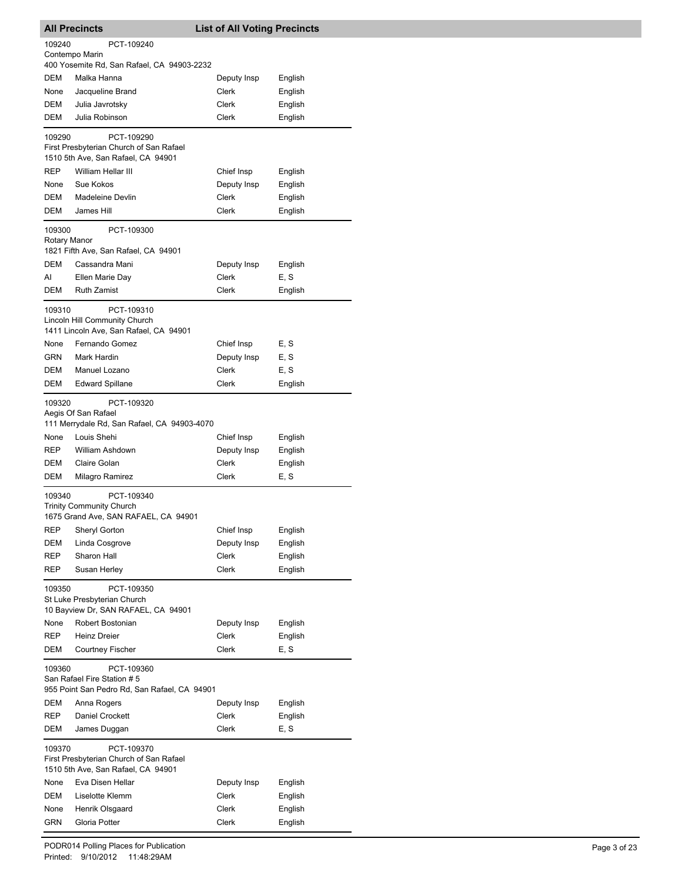| <b>All Precincts</b> |                                                              | <b>List of All Voting Precincts</b> |                    |  |
|----------------------|--------------------------------------------------------------|-------------------------------------|--------------------|--|
| 109240               | PCT-109240                                                   |                                     |                    |  |
|                      | Contempo Marin<br>400 Yosemite Rd, San Rafael, CA 94903-2232 |                                     |                    |  |
| DEM                  | Malka Hanna                                                  | Deputy Insp                         | English            |  |
| None                 | Jacqueline Brand                                             | Clerk                               | English            |  |
| DEM                  | Julia Javrotsky                                              | Clerk                               | English            |  |
| DEM                  | Julia Robinson                                               | Clerk                               | English            |  |
| 109290               | PCT-109290                                                   |                                     |                    |  |
|                      | First Presbyterian Church of San Rafael                      |                                     |                    |  |
|                      | 1510 5th Ave, San Rafael, CA 94901                           |                                     |                    |  |
| <b>REP</b>           | William Hellar III                                           | Chief Insp                          | English            |  |
| None                 | Sue Kokos                                                    | Deputy Insp                         | English            |  |
| DEM                  | <b>Madeleine Devlin</b>                                      | Clerk                               | English            |  |
| DEM                  | James Hill                                                   | Clerk                               | English            |  |
| 109300               | PCT-109300                                                   |                                     |                    |  |
| Rotary Manor         | 1821 Fifth Ave, San Rafael, CA 94901                         |                                     |                    |  |
| <b>DEM</b>           | Cassandra Mani                                               | Deputy Insp                         | English            |  |
| Al                   | Ellen Marie Dav                                              | Clerk                               | E, S               |  |
| DEM                  | <b>Ruth Zamist</b>                                           | Clerk                               | English            |  |
| 109310               | PCT-109310                                                   |                                     |                    |  |
|                      | Lincoln Hill Community Church                                |                                     |                    |  |
|                      | 1411 Lincoln Ave, San Rafael, CA 94901                       |                                     |                    |  |
| None                 | Fernando Gomez                                               | Chief Insp                          | E, S               |  |
| GRN                  | Mark Hardin                                                  | Deputy Insp                         | E, S               |  |
| DEM                  | Manuel Lozano                                                | Clerk                               | E, S               |  |
| DEM                  | <b>Edward Spillane</b>                                       | Clerk                               | English            |  |
| 109320               | PCT-109320                                                   |                                     |                    |  |
|                      | Aegis Of San Rafael                                          |                                     |                    |  |
| None                 | 111 Merrydale Rd, San Rafael, CA 94903-4070<br>Louis Shehi   | Chief Insp                          | English            |  |
| <b>REP</b>           | William Ashdown                                              | Deputy Insp                         | English            |  |
| <b>DEM</b>           | Claire Golan                                                 | <b>Clerk</b>                        | English            |  |
| DEM                  | Milagro Ramirez                                              | Clerk                               | E, S               |  |
|                      |                                                              |                                     |                    |  |
| 109340               | PCT-109340<br><b>Trinity Community Church</b>                |                                     |                    |  |
|                      | 1675 Grand Ave, SAN RAFAEL, CA 94901                         |                                     |                    |  |
| REP                  | Sheryl Gorton                                                | Chief Insp                          | English            |  |
| DEM                  | Linda Cosgrove                                               | Deputy Insp                         | English            |  |
| REP                  | Sharon Hall                                                  | Clerk                               | English            |  |
| REP                  | Susan Herley                                                 | Clerk                               | English            |  |
| 109350               | PCT-109350                                                   |                                     |                    |  |
|                      | St Luke Presbyterian Church                                  |                                     |                    |  |
| None                 | 10 Bayview Dr, SAN RAFAEL, CA 94901<br>Robert Bostonian      | Deputy Insp                         | English            |  |
| REP                  | <b>Heinz Dreier</b>                                          | <b>Clerk</b>                        | English            |  |
| DEM                  | <b>Courtney Fischer</b>                                      | <b>Clerk</b>                        | E, S               |  |
|                      |                                                              |                                     |                    |  |
| 109360               | PCT-109360<br>San Rafael Fire Station # 5                    |                                     |                    |  |
|                      | 955 Point San Pedro Rd, San Rafael, CA 94901                 |                                     |                    |  |
| DEM                  | Anna Rogers                                                  | Deputy Insp                         | English            |  |
| <b>REP</b>           | Daniel Crockett                                              | Clerk                               | English            |  |
| DEM                  | James Duggan                                                 | Clerk                               | E, S               |  |
| 109370               | PCT-109370                                                   |                                     |                    |  |
|                      | First Presbyterian Church of San Rafael                      |                                     |                    |  |
|                      | 1510 5th Ave, San Rafael, CA 94901                           |                                     |                    |  |
| None                 | Eva Disen Hellar                                             | Deputy Insp                         | English            |  |
| DEM                  | Liselotte Klemm                                              | Clerk                               | English            |  |
| None<br>GRN          | Henrik Olsgaard<br>Gloria Potter                             | Clerk<br>Clerk                      | English<br>English |  |
|                      |                                                              |                                     |                    |  |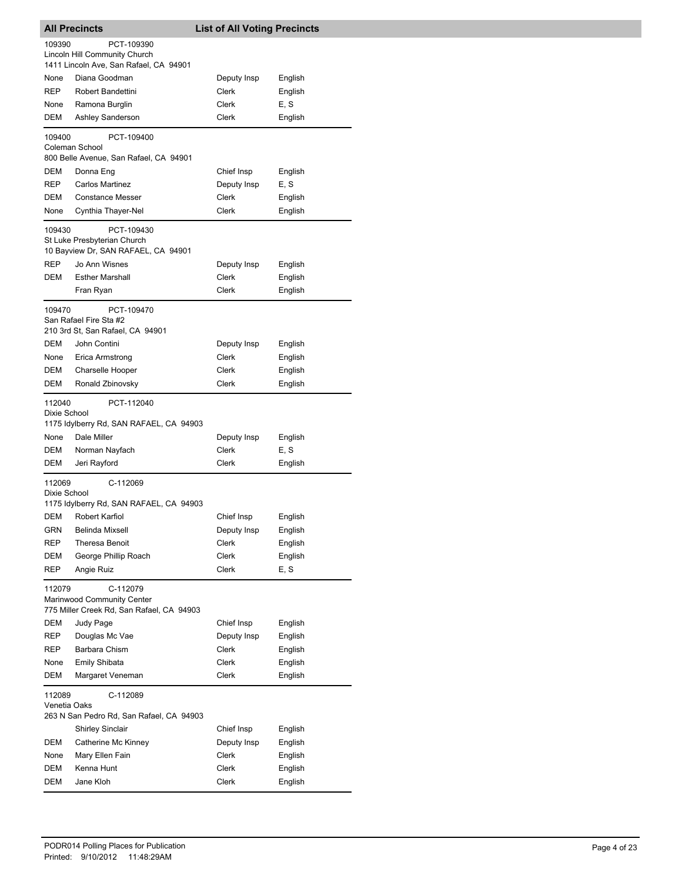| <b>All Precincts</b><br><b>List of All Voting Precincts</b>                                   |                                                                                       |                       |                 |  |
|-----------------------------------------------------------------------------------------------|---------------------------------------------------------------------------------------|-----------------------|-----------------|--|
| 109390                                                                                        | PCT-109390<br>Lincoln Hill Community Church<br>1411 Lincoln Ave, San Rafael, CA 94901 |                       |                 |  |
| None                                                                                          | Diana Goodman                                                                         | Deputy Insp           | English         |  |
| <b>REP</b>                                                                                    | Robert Bandettini                                                                     | Clerk                 | English         |  |
| None                                                                                          | Ramona Burglin                                                                        | Clerk                 | E, S            |  |
| DEM                                                                                           | Ashley Sanderson                                                                      | Clerk                 | English         |  |
| 109400                                                                                        | PCT-109400<br>Coleman School                                                          |                       |                 |  |
|                                                                                               | 800 Belle Avenue, San Rafael, CA 94901                                                |                       |                 |  |
| DEM                                                                                           | Donna Eng                                                                             | Chief Insp            | English         |  |
| REP                                                                                           | <b>Carlos Martinez</b>                                                                | Deputy Insp           | E, S            |  |
| DEM                                                                                           | <b>Constance Messer</b>                                                               | Clerk                 | English         |  |
| None                                                                                          | Cynthia Thayer-Nel                                                                    | Clerk                 | English         |  |
| 109430                                                                                        | PCT-109430<br>St Luke Presbyterian Church                                             |                       |                 |  |
|                                                                                               | 10 Bayview Dr, SAN RAFAEL, CA 94901                                                   |                       |                 |  |
| REP                                                                                           | Jo Ann Wisnes                                                                         | Deputy Insp           | English         |  |
| DEM                                                                                           | <b>Esther Marshall</b>                                                                | <b>Clerk</b>          | English         |  |
|                                                                                               | Fran Ryan                                                                             | Clerk                 | English         |  |
| 109470                                                                                        | PCT-109470<br>San Rafael Fire Sta #2<br>210 3rd St, San Rafael, CA 94901              |                       |                 |  |
| DEM                                                                                           | John Contini                                                                          | Deputy Insp           | English         |  |
| None                                                                                          | Erica Armstrong                                                                       | Clerk                 | English         |  |
| DEM                                                                                           | Charselle Hooper                                                                      | Clerk                 | English         |  |
| DEM                                                                                           | Ronald Zbinovsky                                                                      | Clerk                 | English         |  |
| 112040<br>Dixie School                                                                        | PCT-112040                                                                            |                       |                 |  |
| None                                                                                          | 1175 Idylberry Rd, SAN RAFAEL, CA 94903<br>Dale Miller                                |                       |                 |  |
| DEM                                                                                           |                                                                                       | Deputy Insp           | English         |  |
| DEM                                                                                           | Norman Nayfach<br>Jeri Rayford                                                        | Clerk<br><b>Clerk</b> | E, S<br>English |  |
|                                                                                               |                                                                                       |                       |                 |  |
| 112069<br>Dixie School                                                                        | C-112069<br>1175 Idylberry Rd, SAN RAFAEL, CA 94903                                   |                       |                 |  |
|                                                                                               | DEM Robert Karfiol                                                                    | Chief Insp            | English         |  |
| <b>GRN</b>                                                                                    | <b>Belinda Mixsell</b>                                                                | Deputy Insp           | English         |  |
| REP                                                                                           | Theresa Benoit                                                                        | Clerk                 | English         |  |
| DEM                                                                                           | George Phillip Roach                                                                  | Clerk                 | English         |  |
| REP                                                                                           | Angie Ruiz                                                                            | <b>Clerk</b>          | E, S            |  |
| 112079<br>C-112079<br>Marinwood Community Center<br>775 Miller Creek Rd, San Rafael, CA 94903 |                                                                                       |                       |                 |  |
| DEM                                                                                           | Judy Page                                                                             | Chief Insp            | English         |  |
| REP                                                                                           | Douglas Mc Vae                                                                        | Deputy Insp           | English         |  |
| REP                                                                                           | Barbara Chism                                                                         | Clerk                 | English         |  |
| None                                                                                          | <b>Emily Shibata</b>                                                                  | Clerk                 | English         |  |
| DEM                                                                                           | Margaret Veneman                                                                      | Clerk                 | English         |  |
| 112089<br>Venetia Oaks                                                                        | C-112089<br>263 N San Pedro Rd, San Rafael, CA 94903                                  |                       |                 |  |
|                                                                                               | <b>Shirley Sinclair</b>                                                               | Chief Insp            | English         |  |
| DEM                                                                                           | Catherine Mc Kinney                                                                   | Deputy Insp           | English         |  |
| None                                                                                          | Mary Ellen Fain                                                                       | Clerk                 | English         |  |
| DEM                                                                                           | Kenna Hunt                                                                            | Clerk                 | English         |  |
| DEM                                                                                           | Jane Kloh                                                                             | Clerk                 | English         |  |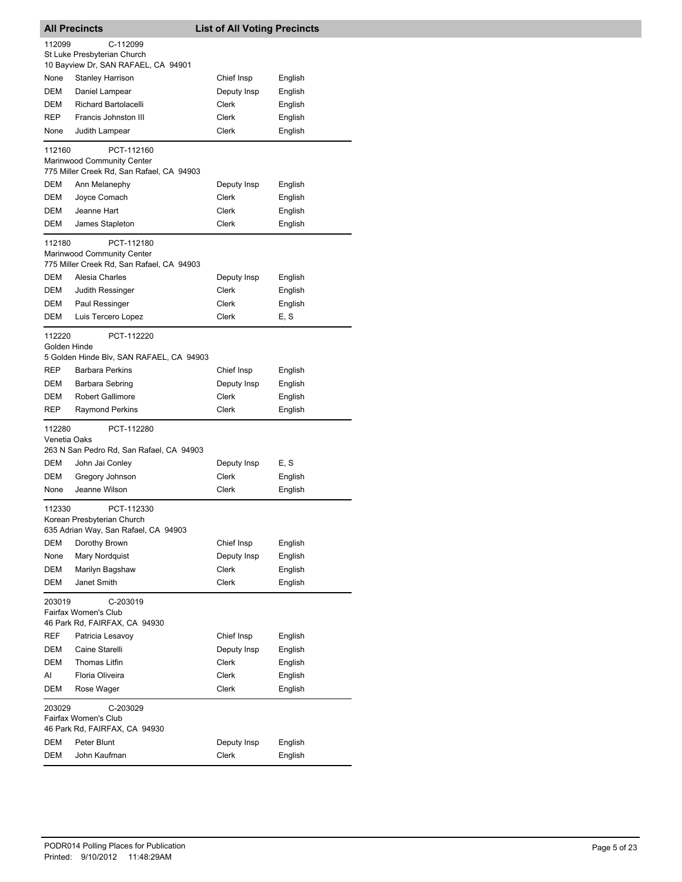| <b>All Precincts</b>   |                                                                                       | <b>List of All Voting Precincts</b> |                    |
|------------------------|---------------------------------------------------------------------------------------|-------------------------------------|--------------------|
| 112099                 | C-112099                                                                              |                                     |                    |
|                        | St Luke Presbyterian Church                                                           |                                     |                    |
|                        | 10 Bayview Dr, SAN RAFAEL, CA 94901                                                   |                                     |                    |
| None                   | Stanley Harrison                                                                      | Chief Insp                          | English            |
| DEM                    | Daniel Lampear                                                                        | Deputy Insp                         | English            |
| DEM                    | <b>Richard Bartolacelli</b>                                                           | Clerk                               | English            |
| <b>REP</b>             | Francis Johnston III                                                                  | Clerk                               | English            |
| None                   | Judith Lampear                                                                        | Clerk                               | English            |
| 112160                 | PCT-112160<br>Marinwood Community Center                                              |                                     |                    |
|                        | 775 Miller Creek Rd, San Rafael, CA 94903                                             |                                     |                    |
| DEM                    | Ann Melanephy                                                                         | Deputy Insp                         | English            |
| DEM                    | Joyce Comach                                                                          | Clerk                               | English            |
| DEM                    | Jeanne Hart                                                                           | Clerk                               | English            |
| DEM                    | James Stapleton                                                                       | Clerk                               | English            |
| 112180                 | PCT-112180<br>Marinwood Community Center<br>775 Miller Creek Rd, San Rafael, CA 94903 |                                     |                    |
| DEM                    | Alesia Charles                                                                        | Deputy Insp                         | English            |
| DEM                    | Judith Ressinger                                                                      | Clerk                               | English            |
| DEM                    | Paul Ressinger                                                                        | Clerk                               | English            |
| DEM                    | Luis Tercero Lopez                                                                    | Clerk                               | E, S               |
| 112220<br>Golden Hinde | PCT-112220                                                                            |                                     |                    |
|                        | 5 Golden Hinde Blv, SAN RAFAEL, CA 94903                                              |                                     |                    |
| <b>REP</b>             | <b>Barbara Perkins</b>                                                                | Chief Insp                          | English            |
| DEM                    | Barbara Sebring                                                                       | Deputy Insp                         | English            |
| DEM                    | <b>Robert Gallimore</b>                                                               | Clerk                               | English            |
| REP                    | <b>Raymond Perkins</b>                                                                | Clerk                               | English            |
| 112280<br>Venetia Oaks | PCT-112280<br>263 N San Pedro Rd, San Rafael, CA 94903                                |                                     |                    |
| <b>DEM</b>             | John Jai Conley                                                                       | Deputy Insp                         | E, S               |
| DEM                    | Gregory Johnson                                                                       | Clerk                               |                    |
| None                   | Jeanne Wilson                                                                         | Clerk                               | English<br>English |
|                        |                                                                                       |                                     |                    |
| 112330                 | PCT-112330<br>Korean Presbyterian Church<br>635 Adrian Way, San Rafael, CA 94903      |                                     |                    |
| DEM                    | Dorothy Brown                                                                         | Chief Insp                          | English            |
| None                   | Mary Nordquist                                                                        | Deputy Insp                         | English            |
| DEM                    | Marilyn Bagshaw                                                                       | Clerk                               | English            |
| DEM                    | Janet Smith                                                                           | Clerk                               | English            |
| 203019                 | C-203019<br>Fairfax Women's Club<br>46 Park Rd, FAIRFAX, CA 94930                     |                                     |                    |
| REF                    | Patricia Lesavoy                                                                      | Chief Insp                          | English            |
| DEM                    | Caine Starelli                                                                        | Deputy Insp                         | English            |
| DEM                    | Thomas Litfin                                                                         | Clerk                               | English            |
| Al                     | Floria Oliveira                                                                       | Clerk                               | English            |
| DEM                    | Rose Wager                                                                            | Clerk                               | English            |
| 203029                 | C-203029<br>Fairfax Women's Club<br>46 Park Rd, FAIRFAX, CA 94930                     |                                     |                    |
| DEM                    | Peter Blunt                                                                           | Deputy Insp                         | English            |
| DEM                    | John Kaufman                                                                          | Clerk                               | English            |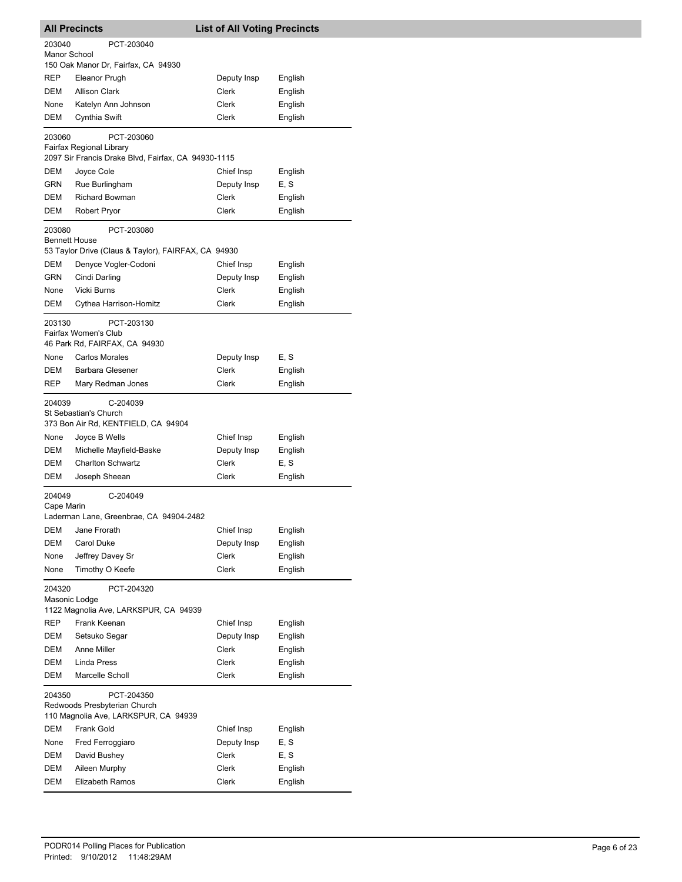| <b>All Precincts</b>    |                                                                                    | <b>List of All Voting Precincts</b> |         |
|-------------------------|------------------------------------------------------------------------------------|-------------------------------------|---------|
| 203040                  | PCT-203040                                                                         |                                     |         |
| Manor School            |                                                                                    |                                     |         |
| REP                     | 150 Oak Manor Dr, Fairfax, CA 94930<br>Eleanor Prugh                               | Deputy Insp                         | English |
| DEM                     | <b>Allison Clark</b>                                                               | Clerk                               | English |
| None                    | Katelyn Ann Johnson                                                                | Clerk                               | English |
| DEM                     | Cynthia Swift                                                                      | Clerk                               | English |
|                         |                                                                                    |                                     |         |
| 203060                  | PCT-203060<br>Fairfax Regional Library                                             |                                     |         |
|                         | 2097 Sir Francis Drake Blvd, Fairfax, CA 94930-1115                                |                                     |         |
| DEM                     | Joyce Cole                                                                         | Chief Insp                          | English |
| GRN                     | Rue Burlingham                                                                     | Deputy Insp                         | E, S    |
| DEM                     | <b>Richard Bowman</b>                                                              | Clerk                               | English |
| DEM                     | Robert Pryor                                                                       | Clerk                               | English |
| 203080                  | PCT-203080                                                                         |                                     |         |
| <b>Bennett House</b>    | 53 Taylor Drive (Claus & Taylor), FAIRFAX, CA 94930                                |                                     |         |
| DEM                     | Denyce Vogler-Codoni                                                               | Chief Insp                          | English |
| GRN                     | Cindi Darling                                                                      | Deputy Insp                         | English |
| None                    | Vicki Burns                                                                        | Clerk                               | English |
| DEM                     | Cythea Harrison-Homitz                                                             | Clerk                               | English |
| 203130                  | PCT-203130<br>Fairfax Women's Club<br>46 Park Rd, FAIRFAX, CA 94930                |                                     |         |
| None                    | <b>Carlos Morales</b>                                                              | Deputy Insp                         | E, S    |
| DEM                     | <b>Barbara Glesener</b>                                                            | Clerk                               | English |
| REP                     | Mary Redman Jones                                                                  | <b>Clerk</b>                        | English |
| 204039                  | C-204039<br>St Sebastian's Church<br>373 Bon Air Rd, KENTFIELD, CA 94904           |                                     |         |
| None                    | Joyce B Wells                                                                      | Chief Insp                          | English |
| DEM                     | Michelle Mayfield-Baske                                                            | Deputy Insp                         | English |
| DEM                     | <b>Charlton Schwartz</b>                                                           | <b>Clerk</b>                        | E, S    |
| DEM                     | Joseph Sheean                                                                      | Clerk                               | English |
| 204049<br>Cape Marin    | C-204049<br>Laderman Lane, Greenbrae, CA 94904-2482                                |                                     |         |
| <b>DEM</b>              | Jane Frorath                                                                       | Chief Insp                          | English |
| DEM                     | Carol Duke                                                                         | Deputy Insp                         | English |
| None                    | Jeffrey Davey Sr                                                                   | Clerk                               | English |
| None                    | Timothy O Keefe                                                                    | Clerk                               | English |
| 204320<br>Masonic Lodge | PCT-204320                                                                         |                                     |         |
|                         | 1122 Magnolia Ave, LARKSPUR, CA 94939                                              |                                     |         |
| REP                     | Frank Keenan                                                                       | Chief Insp                          | English |
| DEM                     | Setsuko Segar                                                                      | Deputy Insp                         | English |
| DEM                     | Anne Miller                                                                        | Clerk                               | English |
| <b>DEM</b>              | Linda Press                                                                        | Clerk                               | English |
| DEM                     | Marcelle Scholl                                                                    | Clerk                               | English |
| 204350                  | PCT-204350<br>Redwoods Presbyterian Church<br>110 Magnolia Ave, LARKSPUR, CA 94939 |                                     |         |
| DEM                     | Frank Gold                                                                         | Chief Insp                          | English |
| None                    | Fred Ferroggiaro                                                                   | Deputy Insp                         | E, S    |
| DEM                     | David Bushey                                                                       | Clerk                               | E, S    |
| DEM                     | Aileen Murphy                                                                      | Clerk                               | English |
| DEM                     | Elizabeth Ramos                                                                    | Clerk                               | English |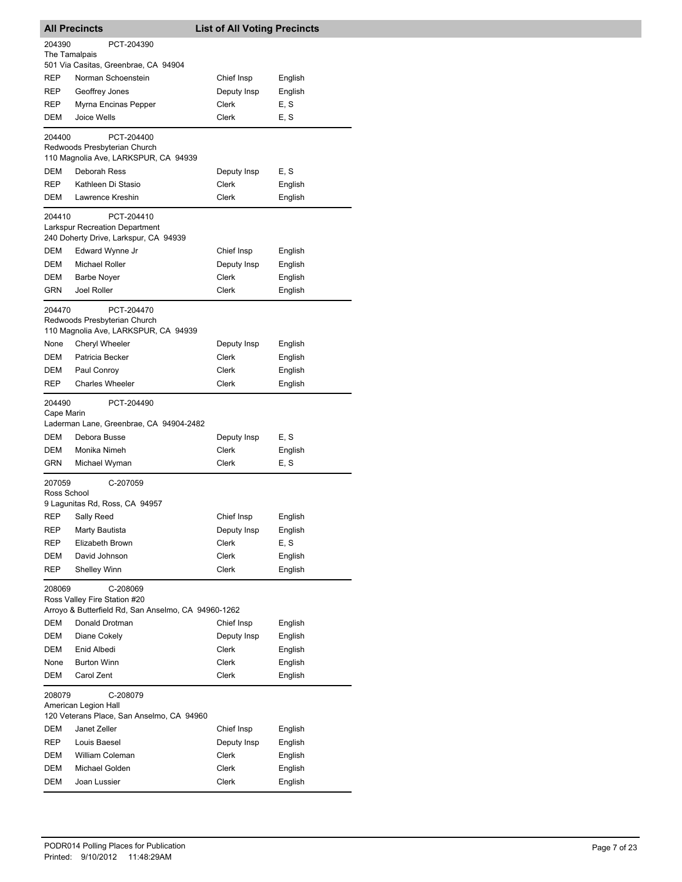| <b>All Precincts</b><br><b>List of All Voting Precincts</b> |                                                                       |                      |                    |
|-------------------------------------------------------------|-----------------------------------------------------------------------|----------------------|--------------------|
| 204390                                                      | PCT-204390                                                            |                      |                    |
| The Tamalpais                                               |                                                                       |                      |                    |
| REP                                                         | 501 Via Casitas, Greenbrae, CA 94904<br>Norman Schoenstein            | Chief Insp           |                    |
| REP                                                         | Geoffrey Jones                                                        | Deputy Insp          | English<br>English |
| <b>REP</b>                                                  | Myrna Encinas Pepper                                                  | Clerk                | E, S               |
| DEM                                                         | Joice Wells                                                           | Clerk                | E, S               |
|                                                             |                                                                       |                      |                    |
| 204400                                                      | PCT-204400<br>Redwoods Presbyterian Church                            |                      |                    |
|                                                             | 110 Magnolia Ave, LARKSPUR, CA 94939                                  |                      |                    |
| DEM                                                         | Deborah Ress                                                          | Deputy Insp          | E, S               |
| REP.                                                        | Kathleen Di Stasio                                                    | Clerk                | English            |
| DEM                                                         | Lawrence Kreshin                                                      | Clerk                | English            |
| 204410                                                      | PCT-204410                                                            |                      |                    |
|                                                             | <b>Larkspur Recreation Department</b>                                 |                      |                    |
|                                                             | 240 Doherty Drive, Larkspur, CA 94939                                 |                      |                    |
| DEM                                                         | Edward Wynne Jr                                                       | Chief Insp           | English            |
| DEM                                                         | Michael Roller                                                        | Deputy Insp          | English            |
| DEM                                                         | <b>Barbe Nover</b>                                                    | Clerk                | English            |
| <b>GRN</b>                                                  | Joel Roller                                                           | Clerk                | English            |
| 204470                                                      | PCT-204470                                                            |                      |                    |
|                                                             | Redwoods Presbyterian Church                                          |                      |                    |
|                                                             | 110 Magnolia Ave, LARKSPUR, CA 94939                                  |                      |                    |
| None<br>DEM                                                 | <b>Cheryl Wheeler</b>                                                 | Deputy Insp<br>Clerk | English            |
| DEM                                                         | Patricia Becker<br>Paul Conroy                                        | Clerk                | English<br>English |
| <b>REP</b>                                                  | <b>Charles Wheeler</b>                                                | Clerk                | English            |
|                                                             |                                                                       |                      |                    |
| 204490<br>Cape Marin                                        | PCT-204490                                                            |                      |                    |
|                                                             | Laderman Lane, Greenbrae, CA 94904-2482                               |                      |                    |
| DEM                                                         | Debora Busse                                                          | Deputy Insp          | E, S               |
| DEM                                                         | Monika Nimeh                                                          | Clerk                | English            |
| <b>GRN</b>                                                  | Michael Wyman                                                         | Clerk                | E, S               |
| 207059                                                      | C-207059                                                              |                      |                    |
| Ross School                                                 |                                                                       |                      |                    |
|                                                             | 9 Lagunitas Rd, Ross, CA 94957                                        |                      |                    |
|                                                             | REP Sally Reed                                                        | Chief Insp           | English            |
| REP                                                         | Marty Bautista                                                        | Deputy Insp          | English            |
| <b>REP</b>                                                  | Elizabeth Brown                                                       | Clerk                | E, S               |
| DEM                                                         | David Johnson                                                         | Clerk                | English            |
| <b>REP</b>                                                  | <b>Shelley Winn</b>                                                   | Clerk                | English            |
| 208069                                                      | C-208069                                                              |                      |                    |
|                                                             | Ross Valley Fire Station #20                                          |                      |                    |
| DEM                                                         | Arroyo & Butterfield Rd, San Anselmo, CA 94960-1262<br>Donald Drotman | Chief Insp           | English            |
| DEM                                                         | Diane Cokely                                                          | Deputy Insp          | English            |
| DEM                                                         | Enid Albedi                                                           | Clerk                | English            |
| None                                                        | <b>Burton Winn</b>                                                    | Clerk                | English            |
| DEM                                                         | Carol Zent                                                            | Clerk                | English            |
|                                                             |                                                                       |                      |                    |
| 208079                                                      | C-208079<br>American Legion Hall                                      |                      |                    |
|                                                             | 120 Veterans Place, San Anselmo, CA 94960                             |                      |                    |
| DEM                                                         | Janet Zeller                                                          | Chief Insp           | English            |
| REP                                                         | Louis Baesel                                                          | Deputy Insp          | English            |
| DEM                                                         | William Coleman                                                       | Clerk                | English            |
| DEM                                                         | Michael Golden                                                        | Clerk                | English            |
| DEM                                                         | Joan Lussier                                                          | Clerk                | English            |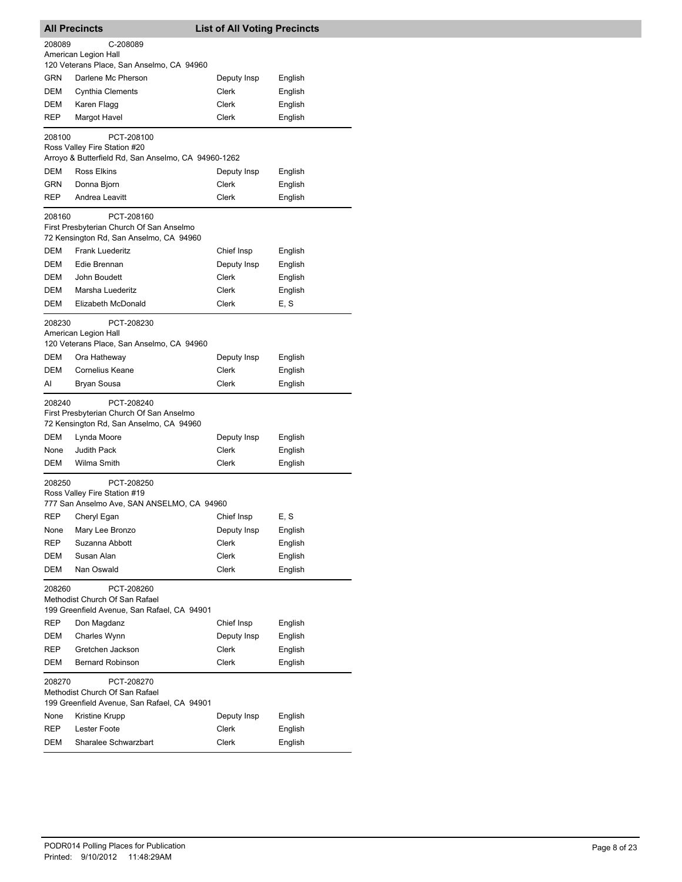| <b>All Precincts</b>                                                                                  |                                                                                                   | <b>List of All Voting Precincts</b> |         |  |
|-------------------------------------------------------------------------------------------------------|---------------------------------------------------------------------------------------------------|-------------------------------------|---------|--|
| 208089                                                                                                | C-208089                                                                                          |                                     |         |  |
|                                                                                                       | American Legion Hall                                                                              |                                     |         |  |
|                                                                                                       | 120 Veterans Place, San Anselmo, CA 94960                                                         |                                     |         |  |
| <b>GRN</b>                                                                                            | Darlene Mc Pherson                                                                                | Deputy Insp                         | English |  |
| DEM                                                                                                   | Cynthia Clements                                                                                  | Clerk                               | English |  |
| DEM                                                                                                   | Karen Flagg                                                                                       | Clerk                               | English |  |
| <b>REP</b>                                                                                            | Margot Havel                                                                                      | Clerk                               | English |  |
| 208100                                                                                                | PCT-208100                                                                                        |                                     |         |  |
|                                                                                                       | Ross Valley Fire Station #20<br>Arroyo & Butterfield Rd, San Anselmo, CA 94960-1262               |                                     |         |  |
| DEM                                                                                                   | <b>Ross Elkins</b>                                                                                | Deputy Insp                         | English |  |
| GRN                                                                                                   | Donna Bjorn                                                                                       | Clerk                               | English |  |
| <b>REP</b>                                                                                            | Andrea Leavitt                                                                                    | Clerk                               | English |  |
| 208160                                                                                                | PCT-208160<br>First Presbyterian Church Of San Anselmo<br>72 Kensington Rd, San Anselmo, CA 94960 |                                     |         |  |
| <b>DEM</b>                                                                                            | <b>Frank Luederitz</b>                                                                            | Chief Insp                          | English |  |
| DEM                                                                                                   | Edie Brennan                                                                                      | Deputy Insp                         | English |  |
| DEM                                                                                                   | John Boudett                                                                                      | Clerk                               | English |  |
| <b>DEM</b>                                                                                            | Marsha Luederitz                                                                                  | Clerk                               | English |  |
| DEM                                                                                                   | Elizabeth McDonald                                                                                | Clerk                               | E, S    |  |
| 208230                                                                                                | PCT-208230<br>American Legion Hall<br>120 Veterans Place, San Anselmo, CA 94960                   |                                     |         |  |
| DEM                                                                                                   | Ora Hatheway                                                                                      | Deputy Insp                         | English |  |
| DEM                                                                                                   | <b>Cornelius Keane</b>                                                                            | Clerk                               | English |  |
| AI                                                                                                    | Bryan Sousa                                                                                       | Clerk                               | English |  |
| 208240                                                                                                | PCT-208240<br>First Presbyterian Church Of San Anselmo<br>72 Kensington Rd, San Anselmo, CA 94960 |                                     |         |  |
| DEM                                                                                                   | Lynda Moore                                                                                       | Deputy Insp                         | English |  |
| None                                                                                                  | <b>Judith Pack</b>                                                                                | Clerk                               | English |  |
| DEM                                                                                                   | Wilma Smith                                                                                       | Clerk                               | English |  |
| 208250                                                                                                | PCT-208250<br>Ross Valley Fire Station #19<br>777 San Anselmo Ave, SAN ANSELMO, CA 94960          |                                     |         |  |
| <b>REP</b>                                                                                            | Cheryl Egan                                                                                       | Chief Insp                          | E, S    |  |
| None                                                                                                  | Mary Lee Bronzo                                                                                   | Deputy Insp                         | English |  |
| REP                                                                                                   | Suzanna Abbott                                                                                    | Clerk                               | English |  |
| DEM                                                                                                   | Susan Alan                                                                                        | Clerk                               | English |  |
| <b>DEM</b><br>208260                                                                                  | Nan Oswald<br>PCT-208260                                                                          | Clerk                               | English |  |
|                                                                                                       | Methodist Church Of San Rafael<br>199 Greenfield Avenue, San Rafael, CA 94901                     |                                     |         |  |
| REP                                                                                                   | Don Magdanz                                                                                       | Chief Insp                          | English |  |
| DEM                                                                                                   | Charles Wynn                                                                                      | Deputy Insp                         | English |  |
| REP                                                                                                   | Gretchen Jackson                                                                                  | Clerk                               | English |  |
| DEM                                                                                                   | <b>Bernard Robinson</b>                                                                           | Clerk                               | English |  |
| 208270<br>PCT-208270<br>Methodist Church Of San Rafael<br>199 Greenfield Avenue, San Rafael, CA 94901 |                                                                                                   |                                     |         |  |
| None                                                                                                  | Kristine Krupp                                                                                    | Deputy Insp                         | English |  |
| REP                                                                                                   | Lester Foote                                                                                      | Clerk                               | English |  |
| DEM                                                                                                   | Sharalee Schwarzbart                                                                              | Clerk                               | English |  |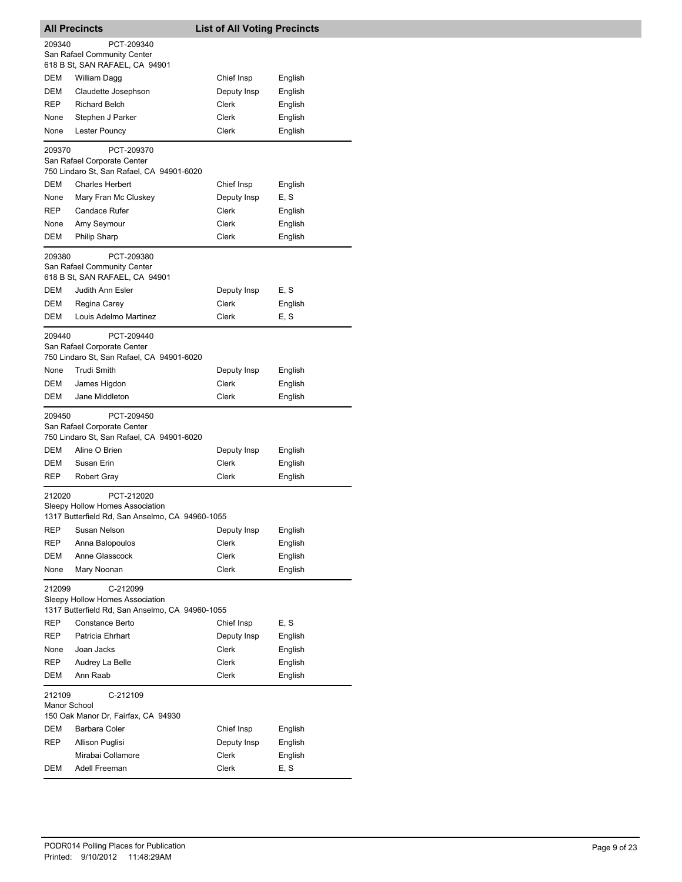| <b>All Precincts</b>   |                                                                                                  | <b>List of All Voting Precincts</b> |                    |  |  |
|------------------------|--------------------------------------------------------------------------------------------------|-------------------------------------|--------------------|--|--|
| 209340                 | PCT-209340<br>San Rafael Community Center<br>618 B St, SAN RAFAEL, CA 94901                      |                                     |                    |  |  |
| DEM                    | William Dagg                                                                                     | Chief Insp                          | English            |  |  |
| <b>DEM</b>             | Claudette Josephson                                                                              | Deputy Insp                         | English            |  |  |
| REP                    | <b>Richard Belch</b>                                                                             | Clerk                               | English            |  |  |
| None                   |                                                                                                  | Clerk                               |                    |  |  |
| None                   | Stephen J Parker<br>Lester Pouncy                                                                | Clerk                               | English<br>English |  |  |
|                        |                                                                                                  |                                     |                    |  |  |
| 209370                 | PCT-209370<br>San Rafael Corporate Center<br>750 Lindaro St, San Rafael, CA 94901-6020           |                                     |                    |  |  |
| <b>DEM</b>             | <b>Charles Herbert</b>                                                                           | Chief Insp                          | English            |  |  |
| None                   | Mary Fran Mc Cluskey                                                                             | Deputy Insp                         | E, S               |  |  |
| REP                    | <b>Candace Rufer</b>                                                                             | Clerk                               | English            |  |  |
| None                   | Amy Seymour                                                                                      | Clerk                               | English            |  |  |
| DEM                    | <b>Philip Sharp</b>                                                                              | Clerk                               | English            |  |  |
|                        |                                                                                                  |                                     |                    |  |  |
| 209380                 | PCT-209380<br>San Rafael Community Center<br>618 B St, SAN RAFAEL, CA 94901                      |                                     |                    |  |  |
| DEM                    | Judith Ann Esler                                                                                 | Deputy Insp                         | E, S               |  |  |
| DEM                    | Regina Carey                                                                                     | <b>Clerk</b>                        | English            |  |  |
| DEM                    | Louis Adelmo Martinez                                                                            | Clerk                               | E, S               |  |  |
| 209440                 | PCT-209440<br>San Rafael Corporate Center<br>750 Lindaro St, San Rafael, CA 94901-6020           |                                     |                    |  |  |
| None                   | <b>Trudi Smith</b>                                                                               | Deputy Insp                         | English            |  |  |
| DEM                    | James Higdon                                                                                     | Clerk                               | English            |  |  |
| DEM                    | Jane Middleton                                                                                   | Clerk                               | English            |  |  |
| 209450                 | PCT-209450<br>San Rafael Corporate Center<br>750 Lindaro St, San Rafael, CA 94901-6020           |                                     |                    |  |  |
| DEM                    | Aline O Brien                                                                                    | Deputy Insp                         | English            |  |  |
| DEM                    | Susan Erin                                                                                       | Clerk                               | English            |  |  |
| REP                    | <b>Robert Gray</b>                                                                               | <b>Clerk</b>                        | English            |  |  |
| 212020                 | PCT-212020<br>Sleepy Hollow Homes Association<br>1317 Butterfield Rd, San Anselmo, CA 94960-1055 |                                     |                    |  |  |
| REP                    | Susan Nelson                                                                                     | Deputy Insp                         | English            |  |  |
| REP                    | Anna Balopoulos                                                                                  | <b>Clerk</b>                        | English            |  |  |
| <b>DEM</b>             | Anne Glasscock                                                                                   | Clerk                               | English            |  |  |
| None                   | Mary Noonan                                                                                      | Clerk                               | English            |  |  |
| 212099                 | C-212099<br>Sleepy Hollow Homes Association<br>1317 Butterfield Rd, San Anselmo, CA 94960-1055   |                                     |                    |  |  |
| REP                    | Constance Berto                                                                                  | Chief Insp                          | E, S               |  |  |
| REP                    | Patricia Ehrhart                                                                                 | Deputy Insp                         | English            |  |  |
| None                   | Joan Jacks                                                                                       | <b>Clerk</b>                        | English            |  |  |
| REP                    | Audrey La Belle                                                                                  | Clerk                               | English            |  |  |
| DEM                    | Ann Raab                                                                                         | Clerk                               | English            |  |  |
| 212109<br>Manor School | C-212109<br>150 Oak Manor Dr, Fairfax, CA 94930                                                  |                                     |                    |  |  |
| DEM                    | Barbara Coler                                                                                    | Chief Insp                          | English            |  |  |
| REP                    | Allison Puglisi                                                                                  | Deputy Insp                         | English            |  |  |
|                        | Mirabai Collamore                                                                                | Clerk                               | English            |  |  |
| DEM                    | Adell Freeman                                                                                    | Clerk                               | E, S               |  |  |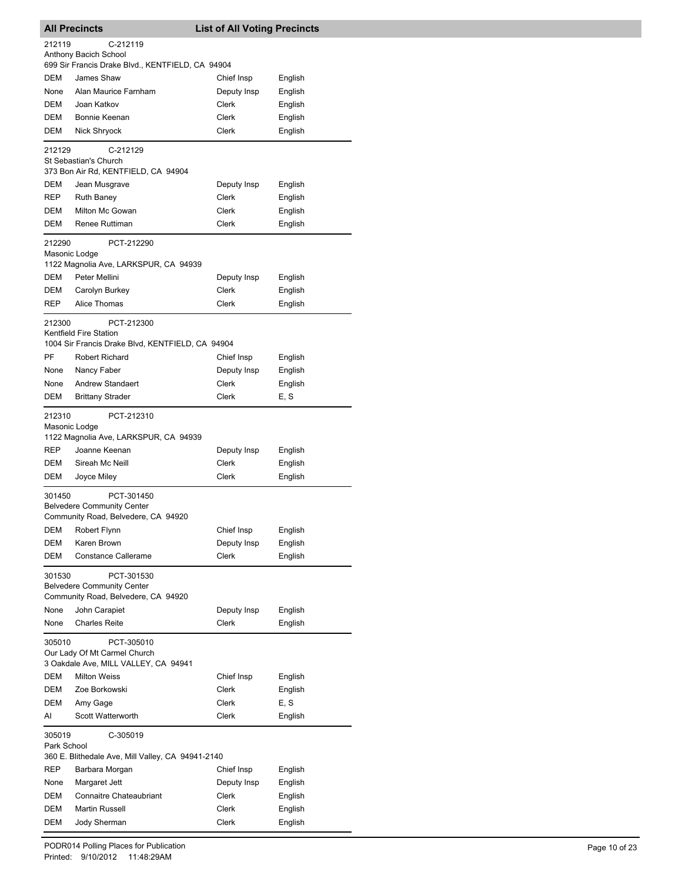| <b>All Precincts</b>  |                                                                            | <b>List of All Voting Precincts</b> |                    |
|-----------------------|----------------------------------------------------------------------------|-------------------------------------|--------------------|
| 212119                | C-212119                                                                   |                                     |                    |
|                       | Anthony Bacich School<br>699 Sir Francis Drake Blvd., KENTFIELD, CA 94904  |                                     |                    |
| DEM                   | James Shaw                                                                 | Chief Insp                          | English            |
| None                  | Alan Maurice Farnham                                                       | Deputy Insp                         | English            |
| DEM                   | Joan Katkov                                                                | Clerk                               | English            |
| DEM                   | Bonnie Keenan                                                              | Clerk                               | English            |
| DEM                   | Nick Shryock                                                               | Clerk                               | English            |
| 212129                | C-212129                                                                   |                                     |                    |
|                       | St Sebastian's Church                                                      |                                     |                    |
|                       | 373 Bon Air Rd, KENTFIELD, CA 94904                                        |                                     |                    |
| DEM                   | Jean Musgrave                                                              | Deputy Insp                         | English            |
| REP                   | <b>Ruth Baney</b>                                                          | Clerk                               | English            |
| DEM                   | Milton Mc Gowan                                                            | Clerk                               | English            |
| DEM                   | Renee Ruttiman                                                             | Clerk                               | English            |
| 212290                | PCT-212290                                                                 |                                     |                    |
|                       | Masonic Lodge                                                              |                                     |                    |
| <b>DEM</b>            | 1122 Magnolia Ave, LARKSPUR, CA 94939<br>Peter Mellini                     |                                     |                    |
| DEM                   | Carolyn Burkey                                                             | Deputy Insp<br>Clerk                | English<br>English |
| <b>REP</b>            | <b>Alice Thomas</b>                                                        | Clerk                               | English            |
|                       |                                                                            |                                     |                    |
| 212300                | PCT-212300                                                                 |                                     |                    |
|                       | Kentfield Fire Station<br>1004 Sir Francis Drake Blvd, KENTFIELD, CA 94904 |                                     |                    |
| PF                    | <b>Robert Richard</b>                                                      | Chief Insp                          | English            |
| None                  | Nancy Faber                                                                | Deputy Insp                         | English            |
| None                  | Andrew Standaert                                                           | Clerk                               | English            |
| DEM                   | <b>Brittany Strader</b>                                                    | Clerk                               | E, S               |
|                       |                                                                            |                                     |                    |
| 212310                | PCT-212310<br>Masonic Lodge                                                |                                     |                    |
|                       | 1122 Magnolia Ave, LARKSPUR, CA 94939                                      |                                     |                    |
| <b>REP</b>            | Joanne Keenan                                                              | Deputy Insp                         | English            |
| DEM                   | Sireah Mc Neill                                                            | Clerk                               | English            |
| DEM                   | Joyce Miley                                                                | Clerk                               | English            |
| 301450                | PCT-301450                                                                 |                                     |                    |
|                       | <b>Belvedere Community Center</b>                                          |                                     |                    |
|                       | Community Road, Belvedere, CA 94920                                        |                                     |                    |
| DEM                   | Robert Flynn                                                               | Chief Insp                          | English            |
| DEM                   | Karen Brown                                                                | Deputy Insp                         | English            |
| DEM                   | <b>Constance Callerame</b>                                                 | Clerk                               | English            |
| 301530                | PCT-301530                                                                 |                                     |                    |
|                       | <b>Belvedere Community Center</b>                                          |                                     |                    |
|                       | Community Road, Belvedere, CA 94920                                        |                                     |                    |
| None                  | John Carapiet                                                              | Deputy Insp                         | English            |
| None                  | <b>Charles Reite</b>                                                       | Clerk                               | English            |
| 305010                | PCT-305010                                                                 |                                     |                    |
|                       | Our Lady Of Mt Carmel Church<br>3 Oakdale Ave, MILL VALLEY, CA 94941       |                                     |                    |
| DEM                   | <b>Milton Weiss</b>                                                        | Chief Insp                          | English            |
| DEM                   | Zoe Borkowski                                                              | Clerk                               | English            |
| DEM                   | Amy Gage                                                                   | Clerk                               | E, S               |
| AI                    | Scott Watterworth                                                          | Clerk                               | English            |
|                       |                                                                            |                                     |                    |
| 305019<br>Park School | C-305019                                                                   |                                     |                    |
|                       | 360 E. Blithedale Ave, Mill Valley, CA 94941-2140                          |                                     |                    |
| REP                   | Barbara Morgan                                                             | Chief Insp                          | English            |
| None                  | Margaret Jett                                                              | Deputy Insp                         | English            |
| DEM                   | <b>Connaitre Chateaubriant</b>                                             | Clerk                               | English            |
| DEM                   | <b>Martin Russell</b>                                                      | Clerk                               | English            |
| DEM                   | Jody Sherman                                                               | Clerk                               | English            |

-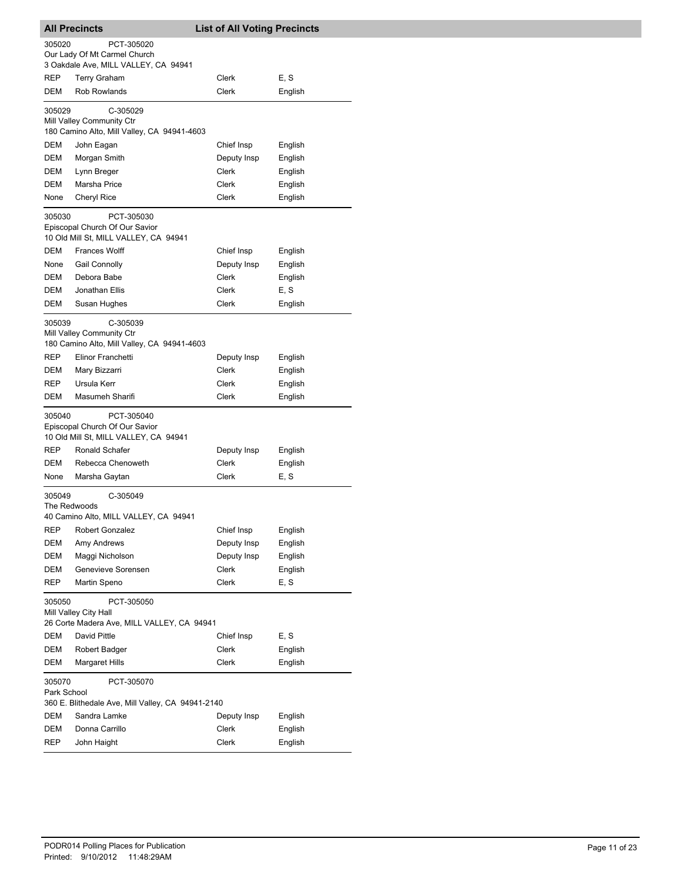| <b>All Precincts</b> |                                                                                                           | <b>List of All Voting Precincts</b> |         |  |
|----------------------|-----------------------------------------------------------------------------------------------------------|-------------------------------------|---------|--|
| 305020               | PCT-305020<br>Our Lady Of Mt Carmel Church<br>3 Oakdale Ave, MILL VALLEY, CA 94941                        |                                     |         |  |
| REP                  | <b>Terry Graham</b>                                                                                       | Clerk                               | E, S    |  |
| DEM                  | <b>Rob Rowlands</b>                                                                                       | Clerk                               | English |  |
|                      |                                                                                                           |                                     |         |  |
| 305029               | C-305029<br>Mill Valley Community Ctr<br>180 Camino Alto, Mill Valley, CA 94941-4603                      |                                     |         |  |
| DEM                  | John Eagan                                                                                                | Chief Insp                          | English |  |
| DEM                  | Morgan Smith                                                                                              | Deputy Insp                         | English |  |
| DEM                  | Lynn Breger                                                                                               | Clerk                               | English |  |
| <b>DEM</b>           | Marsha Price                                                                                              | Clerk                               | English |  |
| None                 | Cheryl Rice                                                                                               | Clerk                               | English |  |
| 305030               | PCT-305030<br>Episcopal Church Of Our Savior<br>10 Old Mill St, MILL VALLEY, CA 94941                     |                                     |         |  |
| DEM                  | <b>Frances Wolff</b>                                                                                      | Chief Insp                          | English |  |
| None                 | <b>Gail Connolly</b>                                                                                      | Deputy Insp                         | English |  |
| DEM                  | Debora Babe                                                                                               | Clerk                               | English |  |
| DEM                  | Jonathan Ellis                                                                                            | Clerk                               | E, S    |  |
| DEM                  | Susan Hughes                                                                                              | Clerk                               | English |  |
| 305039<br><b>REP</b> | C-305039<br>Mill Valley Community Ctr<br>180 Camino Alto, Mill Valley, CA 94941-4603<br>Elinor Franchetti | Deputy Insp                         | English |  |
| DEM                  | Mary Bizzarri                                                                                             | Clerk                               | English |  |
| REP                  | Ursula Kerr                                                                                               | Clerk                               | English |  |
| DEM                  | Masumeh Sharifi                                                                                           | Clerk                               | English |  |
| 305040<br>REP        | PCT-305040<br>Episcopal Church Of Our Savior<br>10 Old Mill St, MILL VALLEY, CA 94941<br>Ronald Schafer   | Deputy Insp                         | English |  |
| DEM                  | Rebecca Chenoweth                                                                                         | Clerk                               | English |  |
| None                 | Marsha Gaytan                                                                                             | Clerk                               | E, S    |  |
| 305049               | C-305049                                                                                                  |                                     |         |  |
| The Redwoods         |                                                                                                           |                                     |         |  |
| REP                  | 40 Camino Alto, MILL VALLEY, CA 94941<br>Robert Gonzalez                                                  | Chief Insp                          | English |  |
| DEM                  | Amy Andrews                                                                                               | Deputy Insp                         | English |  |
| DEM                  | Maggi Nicholson                                                                                           | Deputy Insp                         | English |  |
| DEM                  | Genevieve Sorensen                                                                                        | Clerk                               | English |  |
| REP                  | Martin Speno                                                                                              | Clerk                               | E, S    |  |
| 305050               | PCT-305050<br>Mill Valley City Hall<br>26 Corte Madera Ave, MILL VALLEY, CA 94941                         |                                     |         |  |
| DEM                  | David Pittle                                                                                              | Chief Insp                          | E, S    |  |
| DEM                  | Robert Badger                                                                                             | Clerk                               | English |  |
| DEM                  | Margaret Hills                                                                                            | Clerk                               | English |  |
| 305070               | PCT-305070<br>Park School<br>360 E. Blithedale Ave, Mill Valley, CA 94941-2140                            |                                     |         |  |
| DEM                  | Sandra Lamke                                                                                              | Deputy Insp                         | English |  |
| DEM                  | Donna Carrillo                                                                                            | Clerk                               | English |  |
| REP                  | John Haight                                                                                               | Clerk                               | English |  |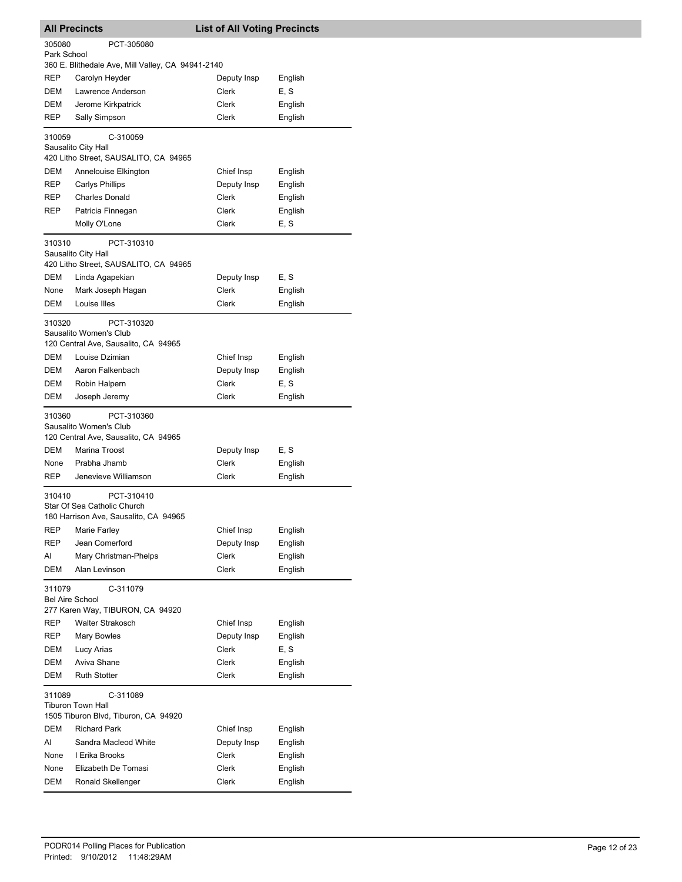|                                  | <b>All Precincts</b>                                                                          | <b>List of All Voting Precincts</b> |                    |
|----------------------------------|-----------------------------------------------------------------------------------------------|-------------------------------------|--------------------|
| 305080<br>Park School            | PCT-305080                                                                                    |                                     |                    |
|                                  | 360 E. Blithedale Ave, Mill Valley, CA 94941-2140                                             |                                     |                    |
| REP                              | Carolyn Heyder                                                                                | Deputy Insp                         | English            |
| <b>DEM</b>                       | Lawrence Anderson                                                                             | Clerk                               | E, S               |
| DEM                              | Jerome Kirkpatrick                                                                            | Clerk                               | English            |
| REP                              | Sally Simpson                                                                                 | Clerk                               | English            |
| 310059                           | C-310059<br>Sausalito City Hall                                                               |                                     |                    |
|                                  | 420 Litho Street, SAUSALITO, CA 94965                                                         |                                     |                    |
| DEM                              | Annelouise Elkington                                                                          | Chief Insp                          | English            |
| REP                              | <b>Carlys Phillips</b>                                                                        | Deputy Insp                         | English            |
| REP                              | <b>Charles Donald</b>                                                                         | Clerk                               | English            |
| REP                              | Patricia Finnegan                                                                             | Clerk                               | English            |
|                                  | Molly O'Lone                                                                                  | Clerk                               | E, S               |
| 310310                           | PCT-310310<br>Sausalito City Hall<br>420 Litho Street, SAUSALITO, CA 94965                    |                                     |                    |
| DEM                              | Linda Agapekian                                                                               | Deputy Insp                         | E, S               |
| None                             | Mark Joseph Hagan                                                                             | Clerk                               | English            |
| DEM                              | Louise Illes                                                                                  | Clerk                               | English            |
| 310320                           | PCT-310320<br>Sausalito Women's Club<br>120 Central Ave, Sausalito, CA 94965                  |                                     |                    |
| DEM                              | Louise Dzimian                                                                                | Chief Insp                          | English            |
| DEM                              | Aaron Falkenbach                                                                              | Deputy Insp                         | English            |
| DEM                              | Robin Halpern                                                                                 | Clerk                               | E, S               |
| DEM                              | Joseph Jeremy                                                                                 | Clerk                               | English            |
| 310360<br>DEM                    | PCT-310360<br>Sausalito Women's Club<br>120 Central Ave, Sausalito, CA 94965<br>Marina Troost | Deputy Insp                         | E, S               |
| None                             | Prabha Jhamb                                                                                  | Clerk                               | English            |
| <b>REP</b>                       | Jenevieve Williamson                                                                          | Clerk                               | English            |
| 310410                           | PCT-310410<br>Star Of Sea Catholic Church<br>180 Harrison Ave, Sausalito, CA 94965            |                                     |                    |
| REP                              | Marie Farley                                                                                  | Chief Insp                          | English            |
| REP                              | Jean Comerford                                                                                | Deputy Insp                         | English            |
| Al                               | Mary Christman-Phelps                                                                         | Clerk                               | English            |
| DEM                              | Alan Levinson                                                                                 | <b>Clerk</b>                        | English            |
| 311079<br><b>Bel Aire School</b> | C-311079<br>277 Karen Way, TIBURON, CA 94920                                                  |                                     |                    |
| REP                              | <b>Walter Strakosch</b>                                                                       | Chief Insp                          | English            |
| REP                              | Mary Bowles                                                                                   | Deputy Insp                         | English            |
| DEM                              | Lucy Arias                                                                                    | Clerk                               | E, S               |
| DEM                              | Aviva Shane                                                                                   | Clerk                               | English            |
| DEM                              | <b>Ruth Stotter</b>                                                                           | Clerk                               | English            |
| 311089                           | C-311089<br>Tiburon Town Hall                                                                 |                                     |                    |
|                                  | 1505 Tiburon Blvd, Tiburon, CA 94920                                                          |                                     |                    |
| DEM<br>Al                        | <b>Richard Park</b><br>Sandra Macleod White                                                   | Chief Insp<br>Deputy Insp           | English            |
| None                             | I Erika Brooks                                                                                | Clerk                               | English<br>English |
| None                             | Elizabeth De Tomasi                                                                           | Clerk                               | English            |
| DEM                              | Ronald Skellenger                                                                             | Clerk                               | English            |
|                                  |                                                                                               |                                     |                    |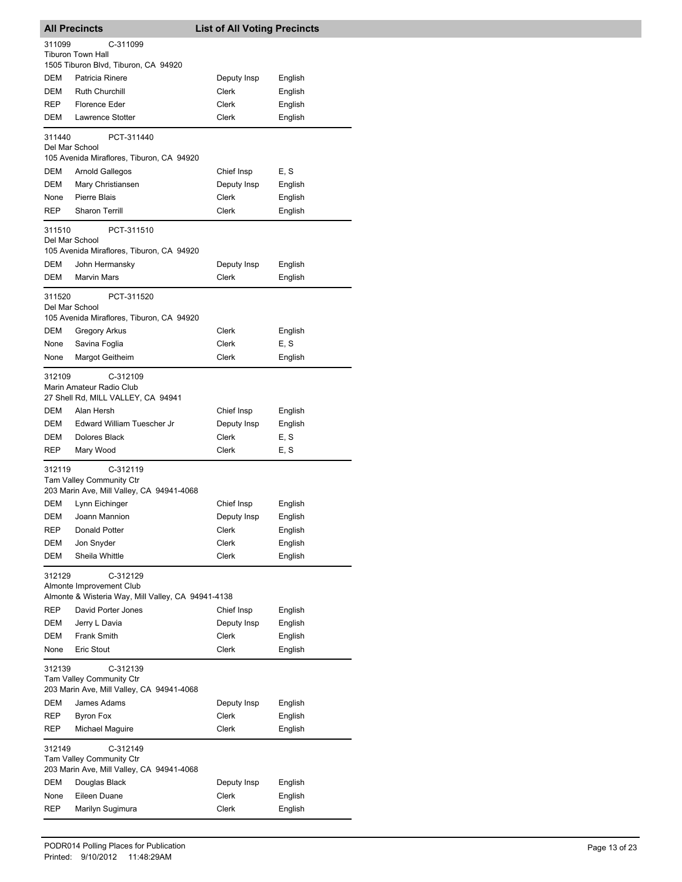|                                                                                             | <b>All Precincts</b>                                                              | <b>List of All Voting Precincts</b> |                    |  |
|---------------------------------------------------------------------------------------------|-----------------------------------------------------------------------------------|-------------------------------------|--------------------|--|
| 311099                                                                                      | C-311099                                                                          |                                     |                    |  |
|                                                                                             | <b>Tiburon Town Hall</b><br>1505 Tiburon Blvd, Tiburon, CA 94920                  |                                     |                    |  |
| DEM                                                                                         | Patricia Rinere                                                                   | Deputy Insp                         | English            |  |
| DEM                                                                                         | Ruth Churchill                                                                    | Clerk                               | English            |  |
| REP                                                                                         | Florence Eder                                                                     | Clerk                               | English            |  |
| DEM                                                                                         | Lawrence Stotter                                                                  | Clerk                               | English            |  |
| 311440                                                                                      | PCT-311440                                                                        |                                     |                    |  |
| Del Mar School                                                                              | 105 Avenida Miraflores, Tiburon, CA 94920                                         |                                     |                    |  |
| DEM                                                                                         | Arnold Gallegos                                                                   | Chief Insp                          | E, S               |  |
| DEM                                                                                         | Mary Christiansen                                                                 | Deputy Insp                         | English            |  |
| None                                                                                        | Pierre Blais                                                                      | Clerk                               | English            |  |
| REP                                                                                         | <b>Sharon Terrill</b>                                                             | Clerk                               | English            |  |
| 311510<br>Del Mar School                                                                    | PCT-311510<br>105 Avenida Miraflores, Tiburon, CA 94920                           |                                     |                    |  |
| DEM                                                                                         | John Hermansky                                                                    | Deputy Insp                         | English            |  |
| DEM                                                                                         | <b>Marvin Mars</b>                                                                | <b>Clerk</b>                        | English            |  |
|                                                                                             |                                                                                   |                                     |                    |  |
| 311520<br>Del Mar School                                                                    | PCT-311520                                                                        |                                     |                    |  |
| <b>DEM</b>                                                                                  | 105 Avenida Miraflores, Tiburon, CA 94920<br><b>Gregory Arkus</b>                 | Clerk                               | English            |  |
| None                                                                                        | Savina Foglia                                                                     | Clerk                               | E, S               |  |
| None                                                                                        | Margot Geitheim                                                                   | Clerk                               | English            |  |
|                                                                                             |                                                                                   |                                     |                    |  |
| 312109                                                                                      | C-312109<br>Marin Amateur Radio Club<br>27 Shell Rd, MILL VALLEY, CA 94941        |                                     |                    |  |
| DEM                                                                                         | Alan Hersh                                                                        | Chief Insp                          | English            |  |
| DEM                                                                                         | Edward William Tuescher Jr                                                        | Deputy Insp                         | English            |  |
| DEM                                                                                         | Dolores Black                                                                     | Clerk                               | E, S               |  |
| REP                                                                                         | Mary Wood                                                                         | Clerk                               | E, S               |  |
| 312119                                                                                      | C-312119<br>Tam Valley Community Ctr<br>203 Marin Ave, Mill Valley, CA 94941-4068 |                                     |                    |  |
| DEM                                                                                         | Lynn Eichinger                                                                    | Chief Insp                          | English            |  |
| DEM                                                                                         | Joann Mannion                                                                     | Deputy Insp                         | English            |  |
| REP                                                                                         | Donald Potter                                                                     | Clerk                               | English            |  |
| DEM                                                                                         | Jon Snyder                                                                        | Clerk                               | English            |  |
| DEM                                                                                         | Sheila Whittle                                                                    | Clerk                               | English            |  |
| 312129                                                                                      | C-312129<br>Almonte Improvement Club                                              |                                     |                    |  |
|                                                                                             | Almonte & Wisteria Way, Mill Valley, CA 94941-4138                                |                                     |                    |  |
| <b>REP</b>                                                                                  | David Porter Jones                                                                | Chief Insp                          | English            |  |
| DEM                                                                                         | Jerry L Davia                                                                     | Deputy Insp                         | English            |  |
| DEM<br>None                                                                                 | <b>Frank Smith</b><br>Eric Stout                                                  | Clerk<br>Clerk                      | English<br>English |  |
|                                                                                             |                                                                                   |                                     |                    |  |
| C-312139<br>312139<br>Tam Valley Community Ctr<br>203 Marin Ave, Mill Valley, CA 94941-4068 |                                                                                   |                                     |                    |  |
| DEM                                                                                         | James Adams                                                                       | Deputy Insp                         | English            |  |
| REP                                                                                         | <b>Byron Fox</b>                                                                  | Clerk                               | English            |  |
| REP                                                                                         | Michael Maguire                                                                   | Clerk                               | English            |  |
| C-312149<br>312149<br>Tam Valley Community Ctr<br>203 Marin Ave, Mill Valley, CA 94941-4068 |                                                                                   |                                     |                    |  |
| DEM                                                                                         | Douglas Black                                                                     | Deputy Insp                         | English            |  |
| None                                                                                        | Eileen Duane                                                                      | Clerk                               | English            |  |
| REP                                                                                         | Marilyn Sugimura                                                                  | Clerk                               | English            |  |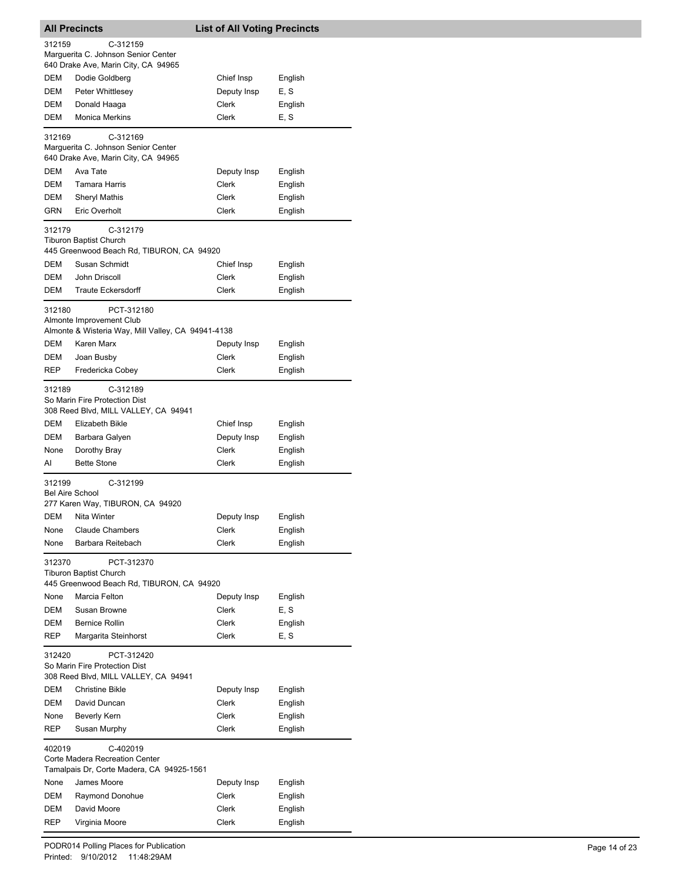|                                                                                               | <b>All Precincts</b>                                                                     | <b>List of All Voting Precincts</b> |         |  |
|-----------------------------------------------------------------------------------------------|------------------------------------------------------------------------------------------|-------------------------------------|---------|--|
| 312159                                                                                        | C-312159<br>Marquerita C. Johnson Senior Center<br>640 Drake Ave, Marin City, CA 94965   |                                     |         |  |
| DEM                                                                                           | Dodie Goldberg                                                                           | Chief Insp                          | English |  |
| DEM                                                                                           | Peter Whittlesey                                                                         | Deputy Insp                         | E, S    |  |
| DEM                                                                                           | Donald Haaga                                                                             | Clerk                               | English |  |
| DEM                                                                                           | <b>Monica Merkins</b>                                                                    | Clerk                               | E, S    |  |
| 312169                                                                                        | C-312169<br>Marquerita C. Johnson Senior Center                                          |                                     |         |  |
|                                                                                               | 640 Drake Ave, Marin City, CA 94965                                                      |                                     |         |  |
| <b>DEM</b>                                                                                    | Ava Tate                                                                                 | Deputy Insp                         | English |  |
| DEM                                                                                           | Tamara Harris                                                                            | Clerk                               | English |  |
| <b>DEM</b>                                                                                    | Sheryl Mathis                                                                            | Clerk                               | English |  |
| <b>GRN</b>                                                                                    | Eric Overholt                                                                            | Clerk                               | English |  |
| 312179                                                                                        | C-312179<br><b>Tiburon Baptist Church</b><br>445 Greenwood Beach Rd, TIBURON, CA 94920   |                                     |         |  |
| DEM                                                                                           | Susan Schmidt                                                                            | Chief Insp                          | English |  |
| <b>DEM</b>                                                                                    | John Driscoll                                                                            | <b>Clerk</b>                        | English |  |
| DEM                                                                                           | <b>Traute Eckersdorff</b>                                                                | Clerk                               | English |  |
| 312180                                                                                        | PCT-312180<br>Almonte Improvement Club                                                   |                                     |         |  |
|                                                                                               | Almonte & Wisteria Way, Mill Valley, CA 94941-4138                                       |                                     |         |  |
| DEM                                                                                           | Karen Marx                                                                               | Deputy Insp                         | English |  |
| DEM                                                                                           | Joan Busby                                                                               | Clerk                               | English |  |
| <b>REP</b>                                                                                    | Fredericka Cobey                                                                         | Clerk                               | English |  |
| 312189                                                                                        | C-312189<br>So Marin Fire Protection Dist<br>308 Reed Blvd, MILL VALLEY, CA 94941        |                                     |         |  |
| DEM                                                                                           | Elizabeth Bikle                                                                          | Chief Insp                          | English |  |
| DEM                                                                                           | Barbara Galyen                                                                           | Deputy Insp                         | English |  |
| None                                                                                          | Dorothy Bray                                                                             | Clerk                               | English |  |
| AI                                                                                            | <b>Bette Stone</b>                                                                       | Clerk                               | English |  |
| 312199<br><b>Bel Aire School</b>                                                              | C-312199                                                                                 |                                     |         |  |
|                                                                                               | 277 Karen Way, TIBURON, CA 94920                                                         |                                     |         |  |
| DEM                                                                                           | Nita Winter                                                                              | Deputy Insp                         | English |  |
| None                                                                                          | <b>Claude Chambers</b>                                                                   | Clerk                               | English |  |
| None                                                                                          | Barbara Reitebach                                                                        | Clerk                               | English |  |
| 312370                                                                                        | PCT-312370<br><b>Tiburon Baptist Church</b><br>445 Greenwood Beach Rd, TIBURON, CA 94920 |                                     |         |  |
| None                                                                                          | Marcia Felton                                                                            | Deputy Insp                         | English |  |
| DEM                                                                                           | Susan Browne                                                                             | Clerk                               | E, S    |  |
| DEM                                                                                           | <b>Bernice Rollin</b>                                                                    | <b>Clerk</b>                        | English |  |
| <b>REP</b>                                                                                    | Margarita Steinhorst                                                                     | Clerk                               | E, S    |  |
| 312420<br>PCT-312420<br>So Marin Fire Protection Dist<br>308 Reed Blvd, MILL VALLEY, CA 94941 |                                                                                          |                                     |         |  |
| DEM                                                                                           | <b>Christine Bikle</b>                                                                   | Deputy Insp                         | English |  |
| <b>DEM</b>                                                                                    | David Duncan                                                                             | Clerk                               | English |  |
| None                                                                                          | <b>Beverly Kern</b>                                                                      | Clerk                               | English |  |
| REP                                                                                           | Susan Murphy                                                                             | Clerk                               | English |  |
| 402019                                                                                        | C-402019                                                                                 |                                     |         |  |
|                                                                                               | Corte Madera Recreation Center<br>Tamalpais Dr, Corte Madera, CA 94925-1561              |                                     |         |  |
| None                                                                                          | James Moore                                                                              | Deputy Insp                         | English |  |
| DEM                                                                                           | Raymond Donohue                                                                          | Clerk                               | English |  |
| DEM                                                                                           | David Moore                                                                              | Clerk                               | English |  |
| REP                                                                                           | Virginia Moore                                                                           | Clerk                               | English |  |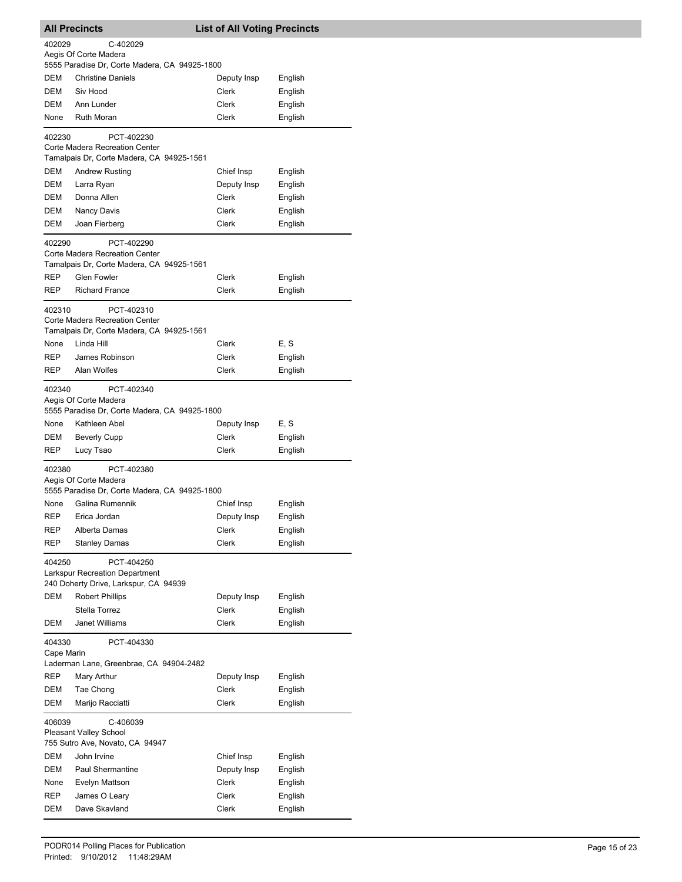| <b>All Precincts</b>   |                                                                             | <b>List of All Voting Precincts</b> |                    |  |
|------------------------|-----------------------------------------------------------------------------|-------------------------------------|--------------------|--|
| 402029                 | C-402029                                                                    |                                     |                    |  |
|                        | Aegis Of Corte Madera                                                       |                                     |                    |  |
| <b>DEM</b>             | 5555 Paradise Dr, Corte Madera, CA 94925-1800<br><b>Christine Daniels</b>   | Deputy Insp                         | English            |  |
| DEM                    | Siv Hood                                                                    | Clerk                               | English            |  |
| DEM                    | Ann Lunder                                                                  | Clerk                               | English            |  |
| None                   | <b>Ruth Moran</b>                                                           | Clerk                               | English            |  |
|                        |                                                                             |                                     |                    |  |
| 402230                 | PCT-402230<br>Corte Madera Recreation Center                                |                                     |                    |  |
|                        | Tamalpais Dr, Corte Madera, CA 94925-1561                                   |                                     |                    |  |
| <b>DEM</b>             | <b>Andrew Rusting</b>                                                       | Chief Insp                          | English            |  |
| DEM                    | Larra Ryan                                                                  | Deputy Insp                         | English            |  |
| DEM                    | Donna Allen                                                                 | Clerk                               | English            |  |
| DEM                    | Nancy Davis                                                                 | Clerk                               | English            |  |
| DEM                    | Joan Fierberg                                                               | Clerk                               | English            |  |
| 402290                 | PCT-402290                                                                  |                                     |                    |  |
|                        | Corte Madera Recreation Center                                              |                                     |                    |  |
|                        | Tamalpais Dr, Corte Madera, CA 94925-1561                                   |                                     |                    |  |
| REP                    | <b>Glen Fowler</b>                                                          | Clerk                               | English            |  |
| REP                    | <b>Richard France</b>                                                       | Clerk                               | English            |  |
| 402310                 | PCT-402310                                                                  |                                     |                    |  |
|                        | Corte Madera Recreation Center<br>Tamalpais Dr, Corte Madera, CA 94925-1561 |                                     |                    |  |
| None                   | Linda Hill                                                                  | Clerk                               | E, S               |  |
| REP                    | James Robinson                                                              | Clerk                               | English            |  |
| REP                    | Alan Wolfes                                                                 | Clerk                               | English            |  |
|                        |                                                                             |                                     |                    |  |
| 402340                 | PCT-402340<br>Aegis Of Corte Madera                                         |                                     |                    |  |
|                        | 5555 Paradise Dr, Corte Madera, CA 94925-1800                               |                                     |                    |  |
| None                   | Kathleen Abel                                                               | Deputy Insp                         | E, S               |  |
| DEM                    | <b>Beverly Cupp</b>                                                         | Clerk                               | English            |  |
| REP                    | Lucy Tsao                                                                   | Clerk                               | English            |  |
| 402380                 | PCT-402380                                                                  |                                     |                    |  |
|                        | Aegis Of Corte Madera                                                       |                                     |                    |  |
|                        | 5555 Paradise Dr, Corte Madera, CA 94925-1800                               |                                     |                    |  |
| None                   | Galina Rumennik                                                             | Chief Insp                          | English            |  |
| REP                    | Erica Jordan                                                                | Deputy Insp                         | English            |  |
| REP<br>REP             | Alberta Damas<br>Stanley Damas                                              | Clerk<br>Clerk                      | English<br>English |  |
|                        |                                                                             |                                     |                    |  |
| 404250                 | PCT-404250                                                                  |                                     |                    |  |
|                        | Larkspur Recreation Department<br>240 Doherty Drive, Larkspur, CA 94939     |                                     |                    |  |
| <b>DEM</b>             | <b>Robert Phillips</b>                                                      | Deputy Insp                         | English            |  |
|                        | Stella Torrez                                                               | <b>Clerk</b>                        | English            |  |
| DEM                    | Janet Williams                                                              | Clerk                               | English            |  |
| 404330                 | PCT-404330                                                                  |                                     |                    |  |
| Cape Marin             |                                                                             |                                     |                    |  |
|                        | Laderman Lane, Greenbrae, CA 94904-2482                                     |                                     |                    |  |
| REP                    | Mary Arthur                                                                 | Deputy Insp                         | English            |  |
| DEM                    | Tae Chong                                                                   | Clerk                               | English            |  |
| DEM                    | Marijo Racciatti                                                            | Clerk                               | English            |  |
| 406039                 | C-406039                                                                    |                                     |                    |  |
| Pleasant Valley School |                                                                             |                                     |                    |  |
|                        | 755 Sutro Ave, Novato, CA 94947                                             |                                     |                    |  |
| DEM                    | John Irvine                                                                 | Chief Insp                          | English            |  |
| DEM                    | <b>Paul Shermantine</b>                                                     | Deputy Insp                         | English            |  |
| None<br>REP            | Evelyn Mattson                                                              | Clerk<br>Clerk                      | English            |  |
| DEM                    | James O Leary<br>Dave Skavland                                              | Clerk                               | English<br>English |  |
|                        |                                                                             |                                     |                    |  |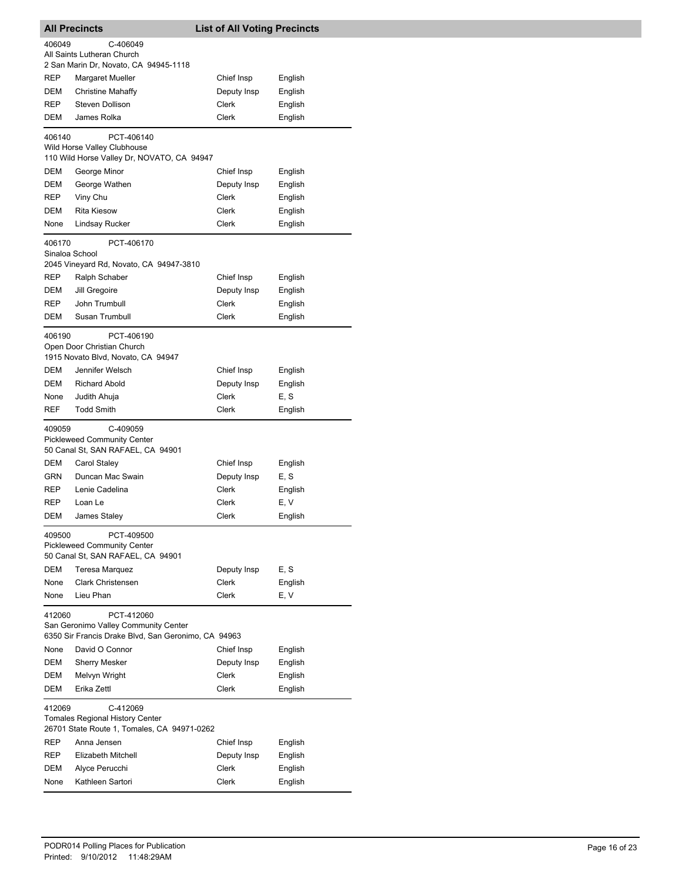| <b>All Precincts</b>                                                                                                |                                                                                     | <b>List of All Voting Precincts</b> |         |  |
|---------------------------------------------------------------------------------------------------------------------|-------------------------------------------------------------------------------------|-------------------------------------|---------|--|
| 406049                                                                                                              | C-406049                                                                            |                                     |         |  |
|                                                                                                                     | All Saints Lutheran Church                                                          |                                     |         |  |
|                                                                                                                     | 2 San Marin Dr, Novato, CA 94945-1118                                               |                                     |         |  |
| <b>REP</b>                                                                                                          | Margaret Mueller                                                                    | Chief Insp                          | English |  |
| DEM                                                                                                                 | <b>Christine Mahaffy</b>                                                            | Deputy Insp                         | English |  |
| <b>REP</b>                                                                                                          | Steven Dollison                                                                     | Clerk                               | English |  |
| DEM                                                                                                                 | James Rolka                                                                         | Clerk                               | English |  |
| 406140                                                                                                              | PCT-406140                                                                          |                                     |         |  |
|                                                                                                                     | Wild Horse Valley Clubhouse                                                         |                                     |         |  |
|                                                                                                                     | 110 Wild Horse Valley Dr, NOVATO, CA 94947                                          |                                     |         |  |
| DEM                                                                                                                 | George Minor                                                                        | Chief Insp                          | English |  |
| DEM                                                                                                                 | George Wathen                                                                       | Deputy Insp                         | English |  |
| REP                                                                                                                 | Viny Chu                                                                            | Clerk                               | English |  |
| DEM                                                                                                                 | <b>Rita Kiesow</b>                                                                  | Clerk                               | English |  |
| None                                                                                                                | Lindsay Rucker                                                                      | Clerk                               | English |  |
| 406170<br>Sinaloa School                                                                                            | PCT-406170<br>2045 Vineyard Rd, Novato, CA 94947-3810                               |                                     |         |  |
| REP                                                                                                                 | Ralph Schaber                                                                       | Chief Insp                          | English |  |
| DEM                                                                                                                 | Jill Gregoire                                                                       | Deputy Insp                         | English |  |
| REP                                                                                                                 | John Trumbull                                                                       | <b>Clerk</b>                        | English |  |
| DEM                                                                                                                 | Susan Trumbull                                                                      | Clerk                               | English |  |
| 406190                                                                                                              | PCT-406190                                                                          |                                     |         |  |
|                                                                                                                     | Open Door Christian Church<br>1915 Novato Blvd, Novato, CA 94947                    |                                     |         |  |
| DEM                                                                                                                 | Jennifer Welsch                                                                     | Chief Insp                          | English |  |
| DEM                                                                                                                 | <b>Richard Abold</b>                                                                | Deputy Insp                         | English |  |
| None                                                                                                                | Judith Ahuja                                                                        | Clerk                               | E, S    |  |
| <b>REF</b>                                                                                                          | <b>Todd Smith</b>                                                                   | Clerk                               | English |  |
| 409059                                                                                                              | C-409059<br><b>Pickleweed Community Center</b><br>50 Canal St, SAN RAFAEL, CA 94901 |                                     |         |  |
| DEM                                                                                                                 | Carol Staley                                                                        | Chief Insp                          | English |  |
| GRN                                                                                                                 | Duncan Mac Swain                                                                    | Deputy Insp                         | E, S    |  |
| REP                                                                                                                 | Lenie Cadelina                                                                      | Clerk                               | English |  |
| REP                                                                                                                 | Loan Le                                                                             | Clerk                               | E, V    |  |
| <b>DEM</b>                                                                                                          | James Staley                                                                        | Clerk                               | English |  |
| 409500<br>PCT-409500<br><b>Pickleweed Community Center</b><br>50 Canal St, SAN RAFAEL, CA 94901                     |                                                                                     |                                     |         |  |
| DEM                                                                                                                 | <b>Teresa Marquez</b>                                                               | Deputy Insp                         | E, S    |  |
| None                                                                                                                | <b>Clark Christensen</b>                                                            | <b>Clerk</b>                        | English |  |
| None                                                                                                                | Lieu Phan                                                                           | Clerk                               | E, V    |  |
| 412060<br>PCT-412060<br>San Geronimo Valley Community Center<br>6350 Sir Francis Drake Blvd, San Geronimo, CA 94963 |                                                                                     |                                     |         |  |
| None                                                                                                                | David O Connor                                                                      | Chief Insp                          | English |  |
| DEM                                                                                                                 | <b>Sherry Mesker</b>                                                                | Deputy Insp                         | English |  |
| DEM                                                                                                                 | Melvyn Wright                                                                       | Clerk                               | English |  |
| <b>DEM</b>                                                                                                          | Erika Zettl                                                                         | Clerk                               | English |  |
| 412069<br>C-412069<br><b>Tomales Regional History Center</b><br>26701 State Route 1, Tomales, CA 94971-0262         |                                                                                     |                                     |         |  |
| REP                                                                                                                 | Anna Jensen                                                                         | Chief Insp                          | English |  |
| REP                                                                                                                 | Elizabeth Mitchell                                                                  | Deputy Insp                         | English |  |
| DEM                                                                                                                 | Alyce Perucchi                                                                      | Clerk                               | English |  |
| None                                                                                                                | Kathleen Sartori                                                                    | Clerk                               | English |  |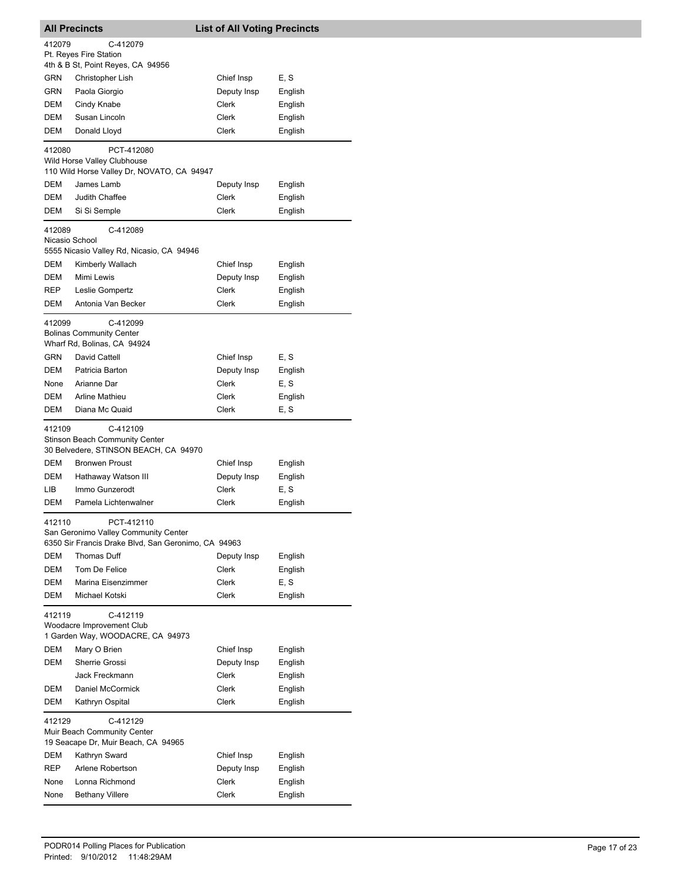| <b>All Precincts</b>                                                                     |                                                                                                           | <b>List of All Voting Precincts</b> |         |  |
|------------------------------------------------------------------------------------------|-----------------------------------------------------------------------------------------------------------|-------------------------------------|---------|--|
| 412079                                                                                   | C-412079                                                                                                  |                                     |         |  |
|                                                                                          | Pt. Reyes Fire Station                                                                                    |                                     |         |  |
|                                                                                          | 4th & B St, Point Reyes, CA 94956                                                                         |                                     |         |  |
| GRN                                                                                      | Christopher Lish                                                                                          | Chief Insp                          | E, S    |  |
| GRN                                                                                      | Paola Giorgio                                                                                             | Deputy Insp                         | English |  |
| DEM                                                                                      | Cindy Knabe                                                                                               | Clerk                               | English |  |
| <b>DEM</b>                                                                               | Susan Lincoln                                                                                             | Clerk                               | English |  |
| DEM                                                                                      | Donald Lloyd                                                                                              | Clerk                               | English |  |
| 412080                                                                                   | PCT-412080<br>Wild Horse Valley Clubhouse<br>110 Wild Horse Valley Dr, NOVATO, CA 94947                   |                                     |         |  |
| DEM                                                                                      | James Lamb                                                                                                | Deputy Insp                         | English |  |
| DEM                                                                                      | Judith Chaffee                                                                                            | Clerk                               | English |  |
| DEM                                                                                      | Si Si Semple                                                                                              | Clerk                               | English |  |
|                                                                                          |                                                                                                           |                                     |         |  |
| 412089<br>Nicasio School                                                                 | C-412089<br>5555 Nicasio Valley Rd, Nicasio, CA 94946                                                     |                                     |         |  |
| <b>DEM</b>                                                                               | Kimberly Wallach                                                                                          | Chief Insp                          | English |  |
| DEM                                                                                      | Mimi Lewis                                                                                                | Deputy Insp                         | English |  |
| REP                                                                                      | Leslie Gompertz                                                                                           | Clerk                               | English |  |
| DEM                                                                                      | Antonia Van Becker                                                                                        | <b>Clerk</b>                        | English |  |
| 412099                                                                                   | C-412099<br><b>Bolinas Community Center</b><br>Wharf Rd, Bolinas, CA 94924                                |                                     |         |  |
| GRN                                                                                      | David Cattell                                                                                             | Chief Insp                          | E, S    |  |
| DEM                                                                                      | Patricia Barton                                                                                           | Deputy Insp                         | English |  |
| None                                                                                     | Arianne Dar                                                                                               | Clerk                               | E, S    |  |
| DEM                                                                                      | <b>Arline Mathieu</b>                                                                                     | Clerk                               | English |  |
| DEM                                                                                      | Diana Mc Quaid                                                                                            | Clerk                               | E, S    |  |
| 412109                                                                                   | C-412109<br><b>Stinson Beach Community Center</b><br>30 Belvedere, STINSON BEACH, CA 94970                |                                     |         |  |
| DEM                                                                                      | <b>Bronwen Proust</b>                                                                                     | Chief Insp                          | English |  |
| DEM                                                                                      | Hathaway Watson III                                                                                       | Deputy Insp                         | English |  |
| LIB                                                                                      | Immo Gunzerodt                                                                                            | Clerk                               | E, S    |  |
| DEM                                                                                      | Pamela Lichtenwalner                                                                                      | Clerk                               | English |  |
| 412110                                                                                   | PCT-412110<br>San Geronimo Valley Community Center<br>6350 Sir Francis Drake Blvd, San Geronimo, CA 94963 |                                     |         |  |
| DEM                                                                                      | Thomas Duff                                                                                               | Deputy Insp                         | English |  |
| DEM                                                                                      | Tom De Felice                                                                                             | Clerk                               | English |  |
| DEM                                                                                      | Marina Eisenzimmer                                                                                        | Clerk                               | E, S    |  |
| DEM                                                                                      | Michael Kotski                                                                                            | Clerk                               | English |  |
| 412119                                                                                   | C-412119<br>Woodacre Improvement Club<br>1 Garden Way, WOODACRE, CA 94973                                 |                                     |         |  |
| <b>DEM</b>                                                                               | Mary O Brien                                                                                              | Chief Insp                          | English |  |
| DEM                                                                                      | Sherrie Grossi                                                                                            | Deputy Insp                         | English |  |
|                                                                                          | Jack Freckmann                                                                                            | Clerk                               | English |  |
| DEM                                                                                      | Daniel McCormick                                                                                          | Clerk                               | English |  |
| DEM                                                                                      | Kathryn Ospital                                                                                           | Clerk                               | English |  |
| 412129<br>C-412129<br>Muir Beach Community Center<br>19 Seacape Dr, Muir Beach, CA 94965 |                                                                                                           |                                     |         |  |
| DEM                                                                                      | Kathryn Sward                                                                                             | Chief Insp                          | English |  |
| REP                                                                                      | Arlene Robertson                                                                                          | Deputy Insp                         | English |  |
| None                                                                                     | Lonna Richmond                                                                                            | Clerk                               | English |  |
| None                                                                                     | <b>Bethany Villere</b>                                                                                    | Clerk                               | English |  |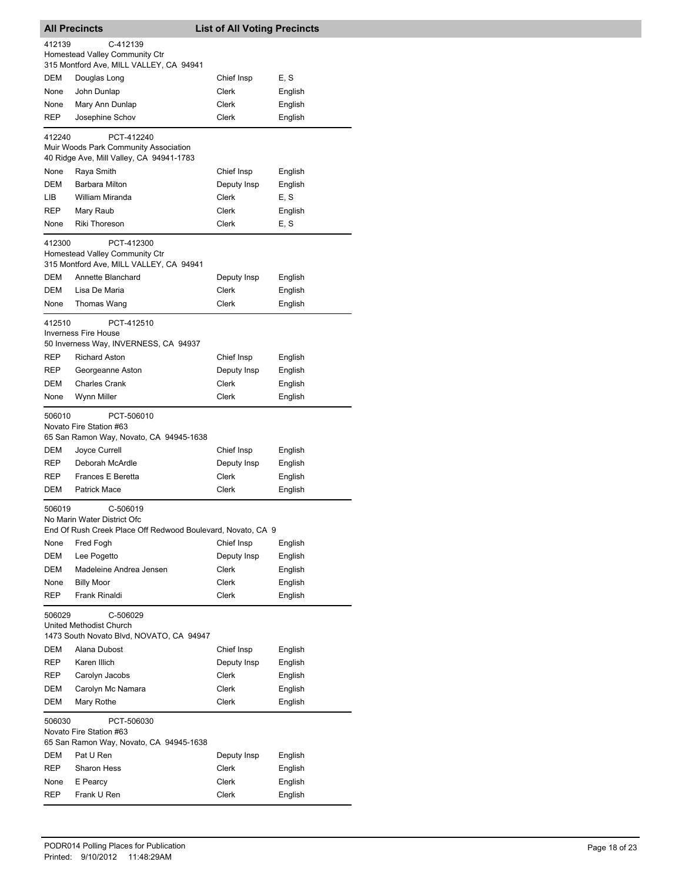| <b>All Precincts</b>                                                                            |                                                                                                        | <b>List of All Voting Precincts</b> |         |  |  |
|-------------------------------------------------------------------------------------------------|--------------------------------------------------------------------------------------------------------|-------------------------------------|---------|--|--|
| 412139<br>C-412139<br>Homestead Valley Community Ctr<br>315 Montford Ave, MILL VALLEY, CA 94941 |                                                                                                        |                                     |         |  |  |
| DEM                                                                                             | Douglas Long                                                                                           | Chief Insp                          | E, S    |  |  |
| None                                                                                            | John Dunlap                                                                                            | Clerk                               | English |  |  |
| None                                                                                            | Mary Ann Dunlap                                                                                        | Clerk                               | English |  |  |
| <b>REP</b>                                                                                      | Josephine Schov                                                                                        | Clerk                               | English |  |  |
| 412240                                                                                          | PCT-412240<br>Muir Woods Park Community Association<br>40 Ridge Ave, Mill Valley, CA 94941-1783        |                                     |         |  |  |
| None                                                                                            | Raya Smith                                                                                             | Chief Insp                          | English |  |  |
| DEM                                                                                             | <b>Barbara Milton</b>                                                                                  | Deputy Insp                         | English |  |  |
| LIB.                                                                                            | William Miranda                                                                                        | Clerk                               | E, S    |  |  |
| <b>REP</b>                                                                                      | Mary Raub                                                                                              | Clerk                               | English |  |  |
| None                                                                                            | <b>Riki Thoreson</b>                                                                                   | Clerk                               | E, S    |  |  |
| 412300                                                                                          | PCT-412300<br>Homestead Valley Community Ctr<br>315 Montford Ave, MILL VALLEY, CA 94941                |                                     |         |  |  |
| DEM                                                                                             | Annette Blanchard                                                                                      | Deputy Insp                         | English |  |  |
| DEM                                                                                             | Lisa De Maria                                                                                          | Clerk                               | English |  |  |
| None                                                                                            | Thomas Wang                                                                                            | Clerk                               | English |  |  |
| 412510                                                                                          | PCT-412510<br><b>Inverness Fire House</b><br>50 Inverness Way, INVERNESS, CA 94937                     |                                     |         |  |  |
| REP                                                                                             | <b>Richard Aston</b>                                                                                   | Chief Insp                          | English |  |  |
| REP                                                                                             | Georgeanne Aston                                                                                       | Deputy Insp                         | English |  |  |
| DEM                                                                                             | <b>Charles Crank</b>                                                                                   | Clerk                               | English |  |  |
| None                                                                                            | Wynn Miller                                                                                            | Clerk                               | English |  |  |
| 506010                                                                                          | PCT-506010<br>Novato Fire Station #63<br>65 San Ramon Way, Novato, CA 94945-1638                       |                                     |         |  |  |
| DEM                                                                                             | Joyce Currell                                                                                          | Chief Insp                          | English |  |  |
| <b>REP</b>                                                                                      | Deborah McArdle                                                                                        | Deputy Insp                         | English |  |  |
| <b>REP</b>                                                                                      | <b>Frances E Beretta</b>                                                                               | Clerk                               | English |  |  |
| DEM                                                                                             | <b>Patrick Mace</b>                                                                                    | Clerk                               | English |  |  |
| 506019                                                                                          | C-506019<br>No Marin Water District Ofc<br>End Of Rush Creek Place Off Redwood Boulevard, Novato, CA 9 |                                     |         |  |  |
| None                                                                                            | Fred Fogh                                                                                              | Chief Insp                          | English |  |  |
| DEM                                                                                             | Lee Pogetto                                                                                            | Deputy Insp                         | English |  |  |
| DEM                                                                                             | Madeleine Andrea Jensen                                                                                | Clerk                               | English |  |  |
| None                                                                                            | <b>Billy Moor</b>                                                                                      | <b>Clerk</b>                        | English |  |  |
| REP                                                                                             | Frank Rinaldi                                                                                          | <b>Clerk</b>                        | English |  |  |
| 506029<br>C-506029<br>United Methodist Church<br>1473 South Novato Blvd, NOVATO, CA 94947       |                                                                                                        |                                     |         |  |  |
| DEM                                                                                             | Alana Dubost                                                                                           | Chief Insp                          | English |  |  |
| REP                                                                                             | Karen Illich                                                                                           | Deputy Insp                         | English |  |  |
| REP                                                                                             | Carolyn Jacobs                                                                                         | Clerk                               | English |  |  |
| DEM                                                                                             | Carolyn Mc Namara                                                                                      | Clerk                               | English |  |  |
| DEM                                                                                             | Mary Rothe                                                                                             | Clerk                               | English |  |  |
| 506030<br>PCT-506030<br>Novato Fire Station #63<br>65 San Ramon Way, Novato, CA 94945-1638      |                                                                                                        |                                     |         |  |  |
| DEM                                                                                             | Pat U Ren                                                                                              | Deputy Insp                         | English |  |  |
| REP                                                                                             | <b>Sharon Hess</b>                                                                                     | Clerk                               | English |  |  |
| None                                                                                            | E Pearcy                                                                                               | Clerk                               | English |  |  |
| REP                                                                                             | Frank U Ren                                                                                            | Clerk                               | English |  |  |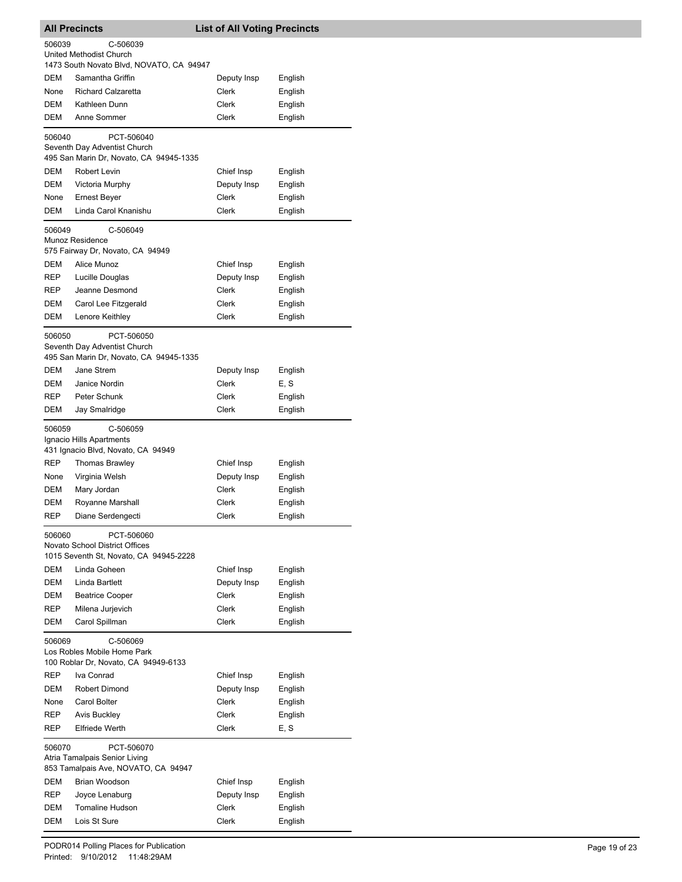| <b>All Precincts</b>                                                                      |                                                                                               | <b>List of All Voting Precincts</b> |                 |  |
|-------------------------------------------------------------------------------------------|-----------------------------------------------------------------------------------------------|-------------------------------------|-----------------|--|
| 506039<br>C-506039<br>United Methodist Church<br>1473 South Novato Blvd, NOVATO, CA 94947 |                                                                                               |                                     |                 |  |
| DEM                                                                                       | Samantha Griffin                                                                              | Deputy Insp                         | English         |  |
| None                                                                                      | <b>Richard Calzaretta</b>                                                                     | Clerk                               | English         |  |
| DEM                                                                                       | Kathleen Dunn                                                                                 | Clerk                               | English         |  |
| DEM                                                                                       | Anne Sommer                                                                                   | Clerk                               | English         |  |
| 506040                                                                                    | PCT-506040<br>Seventh Day Adventist Church<br>495 San Marin Dr, Novato, CA 94945-1335         |                                     |                 |  |
| DEM                                                                                       | Robert Levin                                                                                  | Chief Insp                          | English         |  |
| DEM                                                                                       | Victoria Murphy                                                                               | Deputy Insp                         | English         |  |
| None                                                                                      | Ernest Beyer                                                                                  | Clerk                               | English         |  |
| DEM                                                                                       | Linda Carol Knanishu                                                                          | Clerk                               | English         |  |
| 506049                                                                                    | C-506049<br>Munoz Residence<br>575 Fairway Dr, Novato, CA 94949                               |                                     |                 |  |
| DEM                                                                                       | Alice Munoz                                                                                   | Chief Insp                          | English         |  |
| REP                                                                                       | Lucille Douglas                                                                               | Deputy Insp                         | English         |  |
| REP                                                                                       | Jeanne Desmond                                                                                | Clerk                               | English         |  |
| DEM                                                                                       | Carol Lee Fitzgerald                                                                          | Clerk                               | English         |  |
| DEM                                                                                       | Lenore Keithley                                                                               | Clerk                               | English         |  |
| 506050                                                                                    | PCT-506050<br>Seventh Day Adventist Church<br>495 San Marin Dr, Novato, CA 94945-1335         |                                     |                 |  |
| DEM                                                                                       | Jane Strem                                                                                    | Deputy Insp                         | English         |  |
| DEM                                                                                       | Janice Nordin                                                                                 | Clerk                               | E, S            |  |
| <b>REP</b>                                                                                | Peter Schunk                                                                                  | Clerk                               | English         |  |
| DEM                                                                                       | Jay Smalridge                                                                                 | Clerk                               | English         |  |
| 506059                                                                                    | C-506059<br>Ignacio Hills Apartments<br>431 Ignacio Blvd, Novato, CA 94949                    |                                     |                 |  |
| <b>REP</b>                                                                                | <b>Thomas Brawley</b>                                                                         | Chief Insp                          | English         |  |
| None                                                                                      | Virginia Welsh                                                                                | Deputy Insp                         | English         |  |
| DEM                                                                                       | Mary Jordan                                                                                   | Clerk                               | English         |  |
| DEM                                                                                       | Royanne Marshall                                                                              | Clerk                               | English         |  |
| REP                                                                                       | Diane Serdengecti                                                                             | Clerk                               | English         |  |
| 506060                                                                                    | PCT-506060<br><b>Novato School District Offices</b><br>1015 Seventh St, Novato, CA 94945-2228 |                                     |                 |  |
| <b>DEM</b>                                                                                | Linda Goheen                                                                                  | Chief Insp                          | English         |  |
| DEM                                                                                       | Linda Bartlett                                                                                | Deputy Insp                         | English         |  |
| DEM                                                                                       | <b>Beatrice Cooper</b>                                                                        | Clerk                               | English         |  |
| REP                                                                                       | Milena Jurjevich                                                                              | Clerk                               | English         |  |
| DEM                                                                                       | Carol Spillman                                                                                | Clerk                               | English         |  |
| 506069                                                                                    | C-506069<br>Los Robles Mobile Home Park<br>100 Roblar Dr, Novato, CA 94949-6133               |                                     |                 |  |
| REP                                                                                       | Iva Conrad                                                                                    | Chief Insp                          | English         |  |
| DEM                                                                                       | Robert Dimond                                                                                 | Deputy Insp                         | English         |  |
| None                                                                                      | Carol Bolter                                                                                  | Clerk                               | English         |  |
| REP<br>REP                                                                                | Avis Buckley<br><b>Elfriede Werth</b>                                                         | Clerk<br>Clerk                      | English<br>E, S |  |
|                                                                                           |                                                                                               |                                     |                 |  |
| 506070                                                                                    | PCT-506070<br>Atria Tamalpais Senior Living<br>853 Tamalpais Ave, NOVATO, CA 94947            |                                     |                 |  |
| DEM                                                                                       | Brian Woodson                                                                                 | Chief Insp                          | English         |  |
| REP                                                                                       | Joyce Lenaburg                                                                                | Deputy Insp                         | English         |  |
| DEM                                                                                       | Tomaline Hudson                                                                               | Clerk                               | English         |  |
| DEM                                                                                       | Lois St Sure                                                                                  | Clerk                               | English         |  |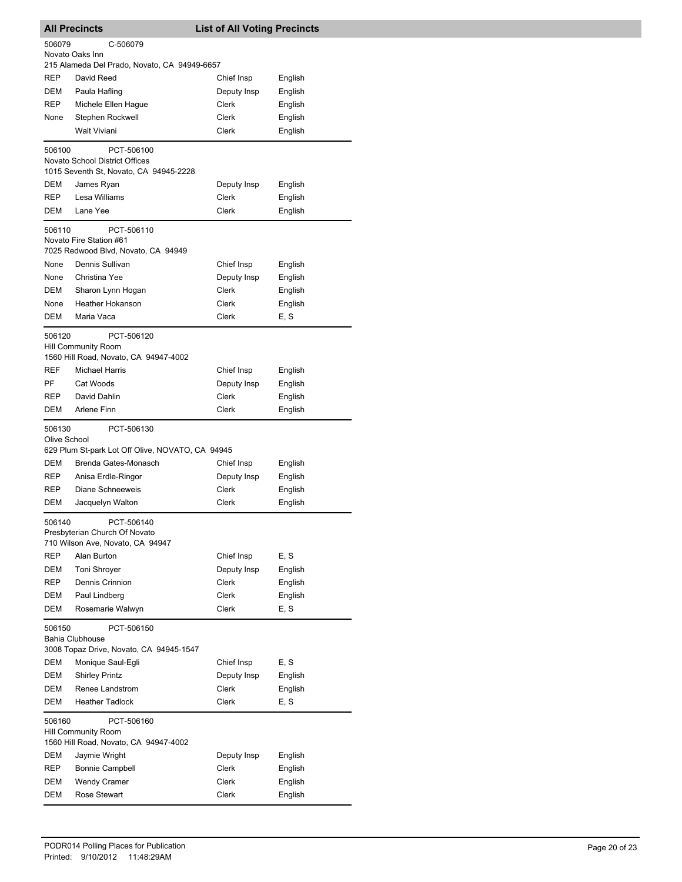| <b>All Precincts</b><br><b>List of All Voting Precincts</b>         |                                                                |                      |                    |  |
|---------------------------------------------------------------------|----------------------------------------------------------------|----------------------|--------------------|--|
| 506079                                                              | C-506079                                                       |                      |                    |  |
|                                                                     | Novato Oaks Inn                                                |                      |                    |  |
| <b>REP</b>                                                          | 215 Alameda Del Prado, Novato, CA 94949-6657<br>David Reed     | Chief Insp           | English            |  |
| DEM                                                                 | Paula Hafling                                                  | Deputy Insp          | English            |  |
| REP                                                                 | Michele Ellen Hague                                            | Clerk                | English            |  |
| None                                                                | Stephen Rockwell                                               | Clerk                | English            |  |
|                                                                     | <b>Walt Viviani</b>                                            | Clerk                | English            |  |
| 506100                                                              | PCT-506100                                                     |                      |                    |  |
|                                                                     | Novato School District Offices                                 |                      |                    |  |
|                                                                     | 1015 Seventh St, Novato, CA 94945-2228                         |                      |                    |  |
| DEM                                                                 | James Ryan                                                     | Deputy Insp          | English            |  |
| <b>REP</b>                                                          | Lesa Williams                                                  | Clerk                | English            |  |
| DEM                                                                 | Lane Yee                                                       | Clerk                | English            |  |
| 506110                                                              | PCT-506110                                                     |                      |                    |  |
|                                                                     | Novato Fire Station #61<br>7025 Redwood Blvd, Novato, CA 94949 |                      |                    |  |
| None                                                                | Dennis Sullivan                                                | Chief Insp           | English            |  |
| None                                                                | Christina Yee                                                  | Deputy Insp          | English            |  |
| <b>DEM</b>                                                          | Sharon Lynn Hogan                                              | Clerk                | English            |  |
| None                                                                | Heather Hokanson                                               | Clerk                | English            |  |
| DEM                                                                 | Maria Vaca                                                     | Clerk                | E, S               |  |
| 506120                                                              | PCT-506120                                                     |                      |                    |  |
|                                                                     | <b>Hill Community Room</b>                                     |                      |                    |  |
|                                                                     | 1560 Hill Road, Novato, CA 94947-4002                          |                      |                    |  |
| <b>REF</b>                                                          | <b>Michael Harris</b>                                          | Chief Insp           | English            |  |
| PF<br><b>REP</b>                                                    | Cat Woods<br>David Dahlin                                      | Deputy Insp<br>Clerk | English            |  |
| DEM                                                                 | Arlene Finn                                                    | Clerk                | English<br>English |  |
|                                                                     |                                                                |                      |                    |  |
| 506130<br>Olive School                                              | PCT-506130                                                     |                      |                    |  |
|                                                                     | 629 Plum St-park Lot Off Olive, NOVATO, CA 94945               |                      |                    |  |
| <b>DEM</b>                                                          | Brenda Gates-Monasch                                           | Chief Insp           | English            |  |
| <b>REP</b>                                                          | Anisa Erdle-Ringor                                             | Deputy Insp          | English            |  |
| <b>REP</b>                                                          | Diane Schneeweis                                               | Clerk                | English            |  |
| DEM                                                                 | Jacquelyn Walton                                               | Clerk                | English            |  |
| 506140                                                              | PCT-506140                                                     |                      |                    |  |
|                                                                     | Presbyterian Church Of Novato                                  |                      |                    |  |
| <b>REP</b>                                                          | 710 Wilson Ave, Novato, CA 94947<br>Alan Burton                | Chief Insp           | E, S               |  |
| DEM                                                                 | <b>Toni Shroyer</b>                                            | Deputy Insp          | English            |  |
| REP                                                                 | Dennis Crinnion                                                | Clerk                | English            |  |
| <b>DEM</b>                                                          | Paul Lindberg                                                  | Clerk                | English            |  |
| DEM                                                                 | Rosemarie Walwyn                                               | Clerk                | E, S               |  |
| 506150                                                              | PCT-506150                                                     |                      |                    |  |
|                                                                     | <b>Bahia Clubhouse</b>                                         |                      |                    |  |
|                                                                     | 3008 Topaz Drive, Novato, CA 94945-1547                        |                      |                    |  |
| DEM                                                                 | Monique Saul-Egli                                              | Chief Insp           | E, S               |  |
| DEM                                                                 | <b>Shirley Printz</b>                                          | Deputy Insp          | English            |  |
| DEM                                                                 | Renee Landstrom                                                | Clerk                | English            |  |
| DEM                                                                 | <b>Heather Tadlock</b>                                         | Clerk                | E, S               |  |
| 506160                                                              | PCT-506160                                                     |                      |                    |  |
| <b>Hill Community Room</b><br>1560 Hill Road, Novato, CA 94947-4002 |                                                                |                      |                    |  |
| DEM                                                                 | Jaymie Wright                                                  | Deputy Insp          | English            |  |
| REP                                                                 | <b>Bonnie Campbell</b>                                         | Clerk                | English            |  |
| DEM                                                                 | <b>Wendy Cramer</b>                                            | Clerk                | English            |  |
| DEM                                                                 | Rose Stewart                                                   | Clerk                | English            |  |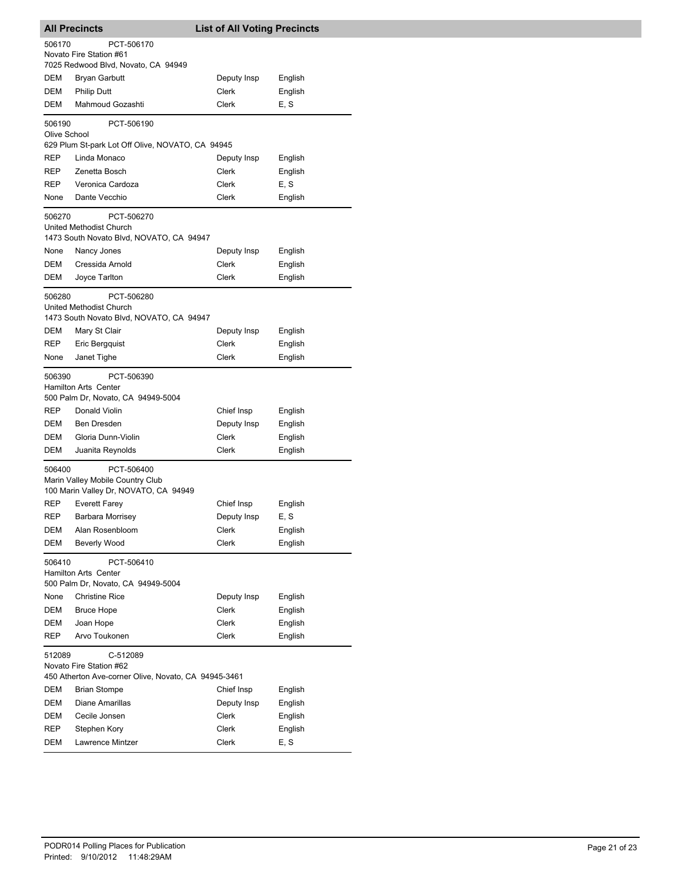| <b>All Precincts</b>                                                               |                                                                                                    | <b>List of All Voting Precincts</b> |         |  |
|------------------------------------------------------------------------------------|----------------------------------------------------------------------------------------------------|-------------------------------------|---------|--|
| 506170                                                                             | PCT-506170<br>Novato Fire Station #61<br>7025 Redwood Blvd, Novato, CA 94949                       |                                     |         |  |
| <b>DEM</b>                                                                         | Bryan Garbutt                                                                                      | Deputy Insp                         | English |  |
| DEM                                                                                | <b>Philip Dutt</b>                                                                                 | Clerk                               | English |  |
| DEM                                                                                | Mahmoud Gozashti                                                                                   | Clerk                               | E, S    |  |
|                                                                                    |                                                                                                    |                                     |         |  |
| 506190<br>Olive School                                                             | PCT-506190<br>629 Plum St-park Lot Off Olive, NOVATO, CA 94945                                     |                                     |         |  |
| REP                                                                                | Linda Monaco                                                                                       | Deputy Insp                         | English |  |
| REP                                                                                | Zenetta Bosch                                                                                      | Clerk                               | English |  |
| REP                                                                                | Veronica Cardoza                                                                                   | Clerk                               | E, S    |  |
| None                                                                               | Dante Vecchio                                                                                      | Clerk                               | English |  |
| 506270                                                                             | PCT-506270<br>United Methodist Church<br>1473 South Novato Blvd, NOVATO, CA 94947                  |                                     |         |  |
| None                                                                               | Nancy Jones                                                                                        | Deputy Insp                         | English |  |
| DEM                                                                                | Cressida Arnold                                                                                    | Clerk                               | English |  |
| DEM                                                                                | Joyce Tarlton                                                                                      | Clerk                               | English |  |
| 506280<br>DEM                                                                      | PCT-506280<br>United Methodist Church<br>1473 South Novato Blvd, NOVATO, CA 94947<br>Mary St Clair | Deputy Insp                         | English |  |
| REP                                                                                | Eric Bergquist                                                                                     | Clerk                               | English |  |
| None                                                                               | Janet Tighe                                                                                        | Clerk                               | English |  |
| 506390<br>PCT-506390<br>Hamilton Arts Center<br>500 Palm Dr, Novato, CA 94949-5004 |                                                                                                    |                                     |         |  |
| REP                                                                                | Donald Violin                                                                                      | Chief Insp                          | English |  |
| DEM                                                                                | Ben Dresden                                                                                        | Deputy Insp                         | English |  |
| DEM                                                                                | Gloria Dunn-Violin                                                                                 | Clerk                               | English |  |
| DEM                                                                                | Juanita Reynolds                                                                                   | Clerk                               | English |  |
| 506400                                                                             | PCT-506400<br>Marin Valley Mobile Country Club<br>100 Marin Valley Dr, NOVATO, CA 94949            |                                     |         |  |
| <b>REP</b>                                                                         | <b>Everett Farey</b>                                                                               | Chief Insp                          | English |  |
| REP                                                                                | Barbara Morrisey                                                                                   | Deputy Insp                         | E, S    |  |
| DEM                                                                                | Alan Rosenbloom                                                                                    | Clerk                               | English |  |
| <b>DEM</b>                                                                         | <b>Beverly Wood</b>                                                                                | Clerk                               | English |  |
| PCT-506410<br>506410<br>Hamilton Arts Center<br>500 Palm Dr, Novato, CA 94949-5004 |                                                                                                    |                                     |         |  |
| None                                                                               | <b>Christine Rice</b>                                                                              | Deputy Insp                         | English |  |
| <b>DEM</b>                                                                         | <b>Bruce Hope</b>                                                                                  | <b>Clerk</b>                        | English |  |
| DEM                                                                                | Joan Hope                                                                                          | <b>Clerk</b>                        | English |  |
| REP                                                                                | Arvo Toukonen                                                                                      | Clerk                               | English |  |
| 512089                                                                             | C-512089<br>Novato Fire Station #62<br>450 Atherton Ave-corner Olive, Novato, CA 94945-3461        |                                     |         |  |
| DEM                                                                                | Brian Stompe                                                                                       | Chief Insp                          | English |  |
| DEM                                                                                | Diane Amarillas                                                                                    | Deputy Insp                         | English |  |
| DEM                                                                                | Cecile Jonsen                                                                                      | Clerk                               | English |  |
| REP                                                                                | Stephen Kory                                                                                       | Clerk                               | English |  |
| DEM                                                                                | Lawrence Mintzer                                                                                   | Clerk                               | E, S    |  |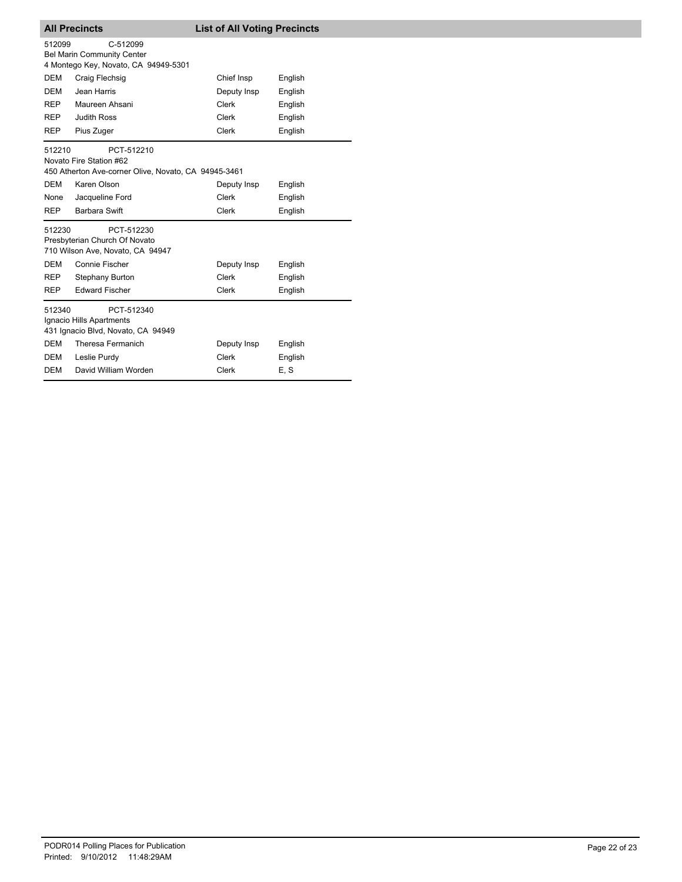| <b>All Precincts</b> |                                                                                               | <b>List of All Voting Precincts</b> |         |  |
|----------------------|-----------------------------------------------------------------------------------------------|-------------------------------------|---------|--|
| 512099               | C-512099<br>Bel Marin Community Center<br>4 Montego Key, Novato, CA 94949-5301                |                                     |         |  |
| <b>DEM</b>           | Craig Flechsig                                                                                | Chief Insp                          | English |  |
| <b>DEM</b>           | Jean Harris                                                                                   | Deputy Insp                         | English |  |
| <b>REP</b>           | Maureen Ahsani                                                                                | Clerk                               | English |  |
| REP                  | <b>Judith Ross</b>                                                                            | Clerk                               | English |  |
| <b>REP</b>           | Pius Zuger                                                                                    | Clerk                               | English |  |
| 512210               | PCT-512210<br>Novato Fire Station #62<br>450 Atherton Ave-corner Olive, Novato, CA 94945-3461 |                                     |         |  |
| <b>DEM</b>           | Karen Olson                                                                                   | Deputy Insp                         | English |  |
| None                 | Jacqueline Ford                                                                               | Clerk                               | English |  |
| <b>REP</b>           | <b>Barbara Swift</b>                                                                          | Clerk                               | English |  |
| 512230               | PCT-512230<br>Presbyterian Church Of Novato<br>710 Wilson Ave, Novato, CA 94947               |                                     |         |  |
| <b>DEM</b>           | Connie Fischer                                                                                | Deputy Insp                         | English |  |
| REP                  | Stephany Burton                                                                               | Clerk                               | English |  |
| <b>REP</b>           | <b>Edward Fischer</b>                                                                         | <b>Clerk</b>                        | English |  |
| 512340               | PCT-512340<br>Ignacio Hills Apartments<br>431 Ignacio Blvd, Novato, CA 94949                  |                                     |         |  |
| <b>DEM</b>           | Theresa Fermanich                                                                             | Deputy Insp                         | English |  |
| <b>DEM</b>           | Leslie Purdy                                                                                  | Clerk                               | English |  |
| <b>DEM</b>           | David William Worden                                                                          | Clerk                               | E, S    |  |